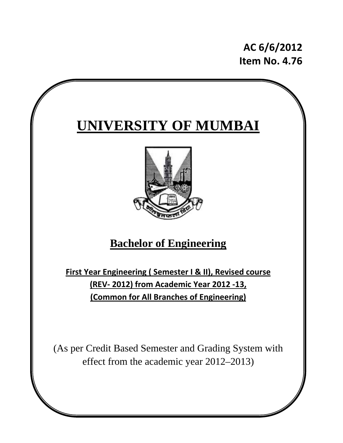# **UNIVERSITY OF MUMBAI Bachelor of Engineering First Year Engineering ( Semester I & II), Revised course (REV‐ 2012) from Academic Year 2012 ‐13, (Common for All Branches of Engineering)** (As per Credit Based Semester and Grading System with effect from the academic year 2012–2013)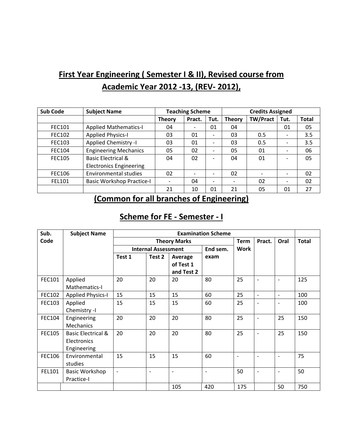# **First Year Engineering ( Semester I & II), Revised course from Academic Year 2012 ‐13, (REV‐ 2012),**

| <b>Sub Code</b> | <b>Subject Name</b>              | <b>Teaching Scheme</b> |        |                          |               | <b>Credits Assigned</b> |                          |              |
|-----------------|----------------------------------|------------------------|--------|--------------------------|---------------|-------------------------|--------------------------|--------------|
|                 |                                  | <b>Theory</b>          | Pract. | Tut.                     | <b>Theory</b> | <b>TW/Pract</b>         | Tut.                     | <b>Total</b> |
| FEC101          | <b>Applied Mathematics-I</b>     | 04                     |        | 01                       | 04            |                         | 01                       | 05           |
| <b>FEC102</b>   | <b>Applied Physics-I</b>         | 03                     | 01     | $\overline{\phantom{a}}$ | 03            | 0.5                     | $\overline{\phantom{a}}$ | 3.5          |
| <b>FEC103</b>   | <b>Applied Chemistry -I</b>      | 03                     | 01     | $\overline{\phantom{a}}$ | 03            | 0.5                     |                          | 3.5          |
| FEC104          | <b>Engineering Mechanics</b>     | 05                     | 02     | $\overline{\phantom{a}}$ | 05            | 01                      |                          | 06           |
| <b>FEC105</b>   | <b>Basic Electrical &amp;</b>    | 04                     | 02     | $\overline{\phantom{a}}$ | 04            | 01                      |                          | 05           |
|                 | <b>Electronics Engineering</b>   |                        |        |                          |               |                         |                          |              |
| <b>FEC106</b>   | <b>Environmental studies</b>     | 02                     |        | $\overline{\phantom{a}}$ | 02            |                         |                          | 02           |
| <b>FEL101</b>   | <b>Basic Workshop Practice-I</b> |                        | 04     | $\overline{\phantom{a}}$ |               | 02                      |                          | 02           |
|                 |                                  | 21                     | 10     | 01                       | 21            | 05                      | 01                       | 27           |

# **(Common for all branches of Engineering)**

# **Scheme for FE ‐ Semester ‐ I**

| Sub.          | <b>Subject Name</b>           |                            | <b>Examination Scheme</b> |                     |                          |                          |                          |                          |              |
|---------------|-------------------------------|----------------------------|---------------------------|---------------------|--------------------------|--------------------------|--------------------------|--------------------------|--------------|
| Code          |                               |                            |                           | <b>Theory Marks</b> |                          | <b>Term</b>              | Pract.                   | Oral                     | <b>Total</b> |
|               |                               | <b>Internal Assessment</b> |                           |                     | End sem.                 | Work                     |                          |                          |              |
|               |                               | Test 1                     | Test 2                    | Average             | exam                     |                          |                          |                          |              |
|               |                               |                            |                           | of Test 1           |                          |                          |                          |                          |              |
|               |                               |                            |                           | and Test 2          |                          |                          |                          |                          |              |
| FEC101        | Applied                       | 20                         | 20                        | 20                  | 80                       | 25                       | $\qquad \qquad -$        |                          | 125          |
|               | Mathematics-I                 |                            |                           |                     |                          |                          |                          |                          |              |
| <b>FEC102</b> | <b>Applied Physics-I</b>      | 15                         | 15                        | 15                  | 60                       | 25                       | $\overline{\phantom{a}}$ | $\overline{\phantom{a}}$ | 100          |
| <b>FEC103</b> | Applied                       | 15                         | 15                        | 15                  | 60                       | 25                       | $\overline{\phantom{a}}$ | $\overline{\phantom{a}}$ | 100          |
|               | Chemistry -I                  |                            |                           |                     |                          |                          |                          |                          |              |
| <b>FEC104</b> | Engineering                   | 20                         | 20                        | 20                  | 80                       | 25                       | $\overline{\phantom{a}}$ | 25                       | 150          |
|               | Mechanics                     |                            |                           |                     |                          |                          |                          |                          |              |
| <b>FEC105</b> | <b>Basic Electrical &amp;</b> | 20                         | 20                        | 20                  | 80                       | 25                       | $\overline{\phantom{a}}$ | 25                       | 150          |
|               | Electronics                   |                            |                           |                     |                          |                          |                          |                          |              |
|               | Engineering                   |                            |                           |                     |                          |                          |                          |                          |              |
| <b>FEC106</b> | Environmental                 | 15                         | 15                        | 15                  | 60                       | $\overline{\phantom{a}}$ | $\overline{\phantom{a}}$ | $\overline{\phantom{a}}$ | 75           |
|               | studies                       |                            |                           |                     |                          |                          |                          |                          |              |
| FEL101        | Basic Workshop                | $\overline{\phantom{a}}$   | $\overline{\phantom{a}}$  | $\qquad \qquad -$   | $\overline{\phantom{a}}$ | 50                       | $\overline{a}$           | $\overline{\phantom{a}}$ | 50           |
|               | Practice-I                    |                            |                           |                     |                          |                          |                          |                          |              |
|               |                               |                            |                           | 105                 | 420                      | 175                      |                          | 50                       | 750          |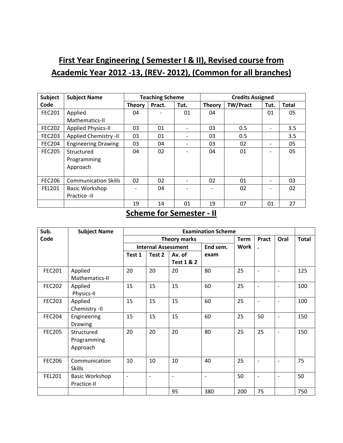# **First Year Engineering ( Semester I & II), Revised course from Academic Year 2012 ‐13, (REV‐ 2012), (Common for all branches)**

| <b>Subject</b> | <b>Subject Name</b>          | <b>Teaching Scheme</b><br><b>Credits Assigned</b> |        |      |               |                 |      |              |
|----------------|------------------------------|---------------------------------------------------|--------|------|---------------|-----------------|------|--------------|
| Code           |                              | <b>Theory</b>                                     | Pract. | Tut. | <b>Theory</b> | <b>TW/Pract</b> | Tut. | <b>Total</b> |
| <b>FEC201</b>  | Applied                      | 04                                                |        | 01   | 04            |                 | 01   | 05           |
|                | Mathematics-II               |                                                   |        |      |               |                 |      |              |
| <b>FEC202</b>  | <b>Applied Physics-II</b>    | 03                                                | 01     |      | 03            | 0.5             | -    | 3.5          |
| <b>FEC203</b>  | <b>Applied Chemistry -II</b> | 03                                                | 01     |      | 03            | 0.5             |      | 3.5          |
| <b>FEC204</b>  | <b>Engineering Drawing</b>   | 03                                                | 04     |      | 03            | 02              |      | 05           |
| <b>FEC205</b>  | Structured                   | 04                                                | 02     |      | 04            | 01              |      | 05           |
|                | Programming                  |                                                   |        |      |               |                 |      |              |
|                | Approach                     |                                                   |        |      |               |                 |      |              |
|                |                              |                                                   |        |      |               |                 |      |              |
| <b>FEC206</b>  | <b>Communication Skills</b>  | 02                                                | 02     |      | 02            | 01              |      | 03           |
| <b>FEL201</b>  | Basic Workshop               |                                                   | 04     |      |               | 02              |      | 02           |
|                | Practice -II                 |                                                   |        |      |               |                 |      |              |
|                |                              | 19                                                | 14     | 01   | 19            | 07              | 01   | 27           |

# **Scheme for Semester ‐ II**

| Sub.          | <b>Subject Name</b>   |                          |                                        |                          | <b>Examination Scheme</b> |             |                          |                          |              |
|---------------|-----------------------|--------------------------|----------------------------------------|--------------------------|---------------------------|-------------|--------------------------|--------------------------|--------------|
| Code          |                       |                          |                                        | <b>Theory marks</b>      |                           | <b>Term</b> | Pract                    | Oral                     | <b>Total</b> |
|               |                       |                          | <b>Internal Assessment</b><br>End sem. |                          |                           | <b>Work</b> | $\ddot{\phantom{0}}$     |                          |              |
|               |                       | Test 1                   | Test 2                                 | Av. of                   | exam                      |             |                          |                          |              |
|               |                       |                          |                                        | <b>Test 1 &amp; 2</b>    |                           |             |                          |                          |              |
| <b>FEC201</b> | Applied               | 20                       | 20                                     | 20                       | 80                        | 25          | $\overline{a}$           | $\overline{\phantom{a}}$ | 125          |
|               | Mathematics-II        |                          |                                        |                          |                           |             |                          |                          |              |
| <b>FEC202</b> | Applied               | 15                       | 15                                     | 15                       | 60                        | 25          | $\overline{a}$           | $\overline{\phantom{a}}$ | 100          |
|               | Physics-II            |                          |                                        |                          |                           |             |                          |                          |              |
| <b>FEC203</b> | Applied               | 15                       | 15                                     | 15                       | 60                        | 25          | $\overline{a}$           | $\overline{\phantom{a}}$ | 100          |
|               | Chemistry -II         |                          |                                        |                          |                           |             |                          |                          |              |
| <b>FEC204</b> | Engineering           | 15                       | 15                                     | 15                       | 60                        | 25          | 50                       | $\overline{\phantom{a}}$ | 150          |
|               | Drawing               |                          |                                        |                          |                           |             |                          |                          |              |
| <b>FEC205</b> | Structured            | 20                       | 20                                     | 20                       | 80                        | 25          | 25                       | $\blacksquare$           | 150          |
|               | Programming           |                          |                                        |                          |                           |             |                          |                          |              |
|               | Approach              |                          |                                        |                          |                           |             |                          |                          |              |
|               |                       |                          |                                        |                          |                           |             |                          |                          |              |
| <b>FEC206</b> | Communication         | 10                       | 10                                     | 10                       | 40                        | 25          | $\overline{a}$           | $\overline{\phantom{a}}$ | 75           |
|               | <b>Skills</b>         |                          |                                        |                          |                           |             |                          |                          |              |
| <b>FEL201</b> | <b>Basic Workshop</b> | $\overline{\phantom{a}}$ | $\qquad \qquad -$                      | $\overline{\phantom{a}}$ | $\overline{\phantom{a}}$  | 50          | $\overline{\phantom{a}}$ | $\overline{\phantom{a}}$ | 50           |
|               | Practice-II           |                          |                                        |                          |                           |             |                          |                          |              |
|               |                       |                          |                                        | 95                       | 380                       | 200         | 75                       |                          | 750          |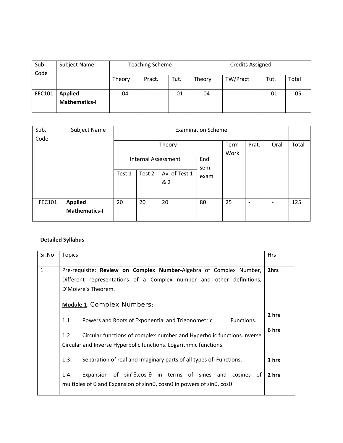| Sub<br>Code   | Subject Name                           |        | <b>Teaching Scheme</b> |      | <b>Credits Assigned</b> |          |      |       |  |
|---------------|----------------------------------------|--------|------------------------|------|-------------------------|----------|------|-------|--|
|               |                                        | Theory | Pract.                 | Tut. | Theory                  | TW/Pract | Tut. | Total |  |
| <b>FEC101</b> | <b>Applied</b><br><b>Mathematics-I</b> | 04     |                        | 01   | 04                      |          | 01   | 05    |  |

| Sub.          | Subject Name                           |        |        |                            | <b>Examination Scheme</b> |              |                          |                          |       |
|---------------|----------------------------------------|--------|--------|----------------------------|---------------------------|--------------|--------------------------|--------------------------|-------|
| Code          |                                        |        |        | Theory                     |                           | Term<br>Work | Prat.                    | Oral                     | Total |
|               |                                        |        |        | <b>Internal Assessment</b> | End                       |              |                          |                          |       |
|               |                                        | Test 1 | Test 2 | Av. of Test 1<br>& 2       | sem.<br>exam              |              |                          |                          |       |
| <b>FEC101</b> | <b>Applied</b><br><b>Mathematics-I</b> | 20     | 20     | 20                         | 80                        | 25           | $\overline{\phantom{a}}$ | $\overline{\phantom{0}}$ | 125   |

## **Detailed Syllabus**

| Sr.No        | <b>Topics</b>                                                                                                                                                                                         | <b>Hrs</b> |
|--------------|-------------------------------------------------------------------------------------------------------------------------------------------------------------------------------------------------------|------------|
| $\mathbf{1}$ | Pre-requisite: Review on Complex Number-Algebra of Complex Number,                                                                                                                                    | 2hrs       |
|              | Different representations of a Complex number and other definitions,                                                                                                                                  |            |
|              | D'Moivre's Theorem.                                                                                                                                                                                   |            |
|              |                                                                                                                                                                                                       |            |
|              | <b>Module-1: Complex Numbers:-</b>                                                                                                                                                                    |            |
|              | 1.1:<br>Powers and Roots of Exponential and Trigonometric<br>Functions.                                                                                                                               | 2 hrs      |
|              | Circular functions of complex number and Hyperbolic functions. Inverse<br>1.2:                                                                                                                        | 6 hrs      |
|              | Circular and Inverse Hyperbolic functions. Logarithmic functions.                                                                                                                                     |            |
|              | 1.3:<br>Separation of real and Imaginary parts of all types of Functions.                                                                                                                             | 3 hrs      |
|              | Expansion of $sin^{n}\theta, cos^{n}\theta$ in terms of sines and cosines of<br>1.4:<br>multiples of $\theta$ and Expansion of sinn $\theta$ , cosn $\theta$ in powers of sin $\theta$ , cos $\theta$ | 2 hrs      |
|              |                                                                                                                                                                                                       |            |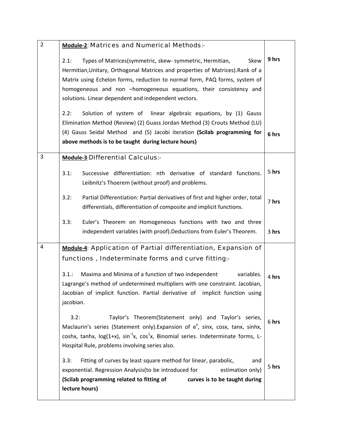| $\overline{2}$ | Module-2: Matrices and Numerical Methods:-                                                                                                                                                                                                                                                                                                                            |       |
|----------------|-----------------------------------------------------------------------------------------------------------------------------------------------------------------------------------------------------------------------------------------------------------------------------------------------------------------------------------------------------------------------|-------|
|                | Types of Matrices(symmetric, skew- symmetric, Hermitian,<br>Skew<br>2.1:<br>Hermitian, Unitary, Orthogonal Matrices and properties of Matrices). Rank of a<br>Matrix using Echelon forms, reduction to normal form, PAQ forms, system of<br>homogeneous and non -homogeneous equations, their consistency and<br>solutions. Linear dependent and independent vectors. | 9 hrs |
|                | Solution of system of linear algebraic equations, by (1) Gauss<br>2.2:<br>Elimination Method (Review) (2) Guass Jordan Method (3) Crouts Method (LU)<br>(4) Gauss Seidal Method and (5) Jacobi iteration (Scilab programming for<br>above methods is to be taught during lecture hours)                                                                               | 6 hrs |
| $\overline{3}$ | Module-3: Differential Calculus:-                                                                                                                                                                                                                                                                                                                                     |       |
|                | 3.1:<br>Successive differentiation: nth derivative of standard functions.<br>Leibnitz's Thoerem (without proof) and problems.                                                                                                                                                                                                                                         | 5 hrs |
|                | 3.2:<br>Partial Differentiation: Partial derivatives of first and higher order, total<br>differentials, differentiation of composite and implicit functions.                                                                                                                                                                                                          | 7 hrs |
|                | 3.3:<br>Euler's Theorem on Homogeneous functions with two and three<br>independent variables (with proof). Deductions from Euler's Theorem.                                                                                                                                                                                                                           | 3 hrs |
| 4              | Module-4: Application of Partial differentiation, Expansion of                                                                                                                                                                                                                                                                                                        |       |
|                | functions, Indeterminate forms and curve fitting:-                                                                                                                                                                                                                                                                                                                    |       |
|                | Maxima and Minima of a function of two independent<br>$3.1.$ :<br>variables.<br>Lagrange's method of undetermined multipliers with one constraint. Jacobian,<br>Jacobian of implicit function. Partial derivative of implicit function using<br>jacobian.                                                                                                             | 4 hrs |
|                | Taylor's Theorem(Statement only) and Taylor's series,<br>3.2:<br>Maclaurin's series (Statement only). Expansion of e <sup>x</sup> , sinx, cosx, tanx, sinhx,<br>coshx, tanhx, $log(1+x)$ , sin <sup>-1</sup> x, cos <sup>1</sup> x, Binomial series. Indeterminate forms, L-<br>Hospital Rule, problems involving series also.                                        | 6 hrs |
|                | Fitting of curves by least square method for linear, parabolic,<br>3.3:<br>and<br>exponential. Regression Analysis(to be introduced for<br>estimation only)<br>(Scilab programming related to fitting of<br>curves is to be taught during<br>lecture hours)                                                                                                           | 5 hrs |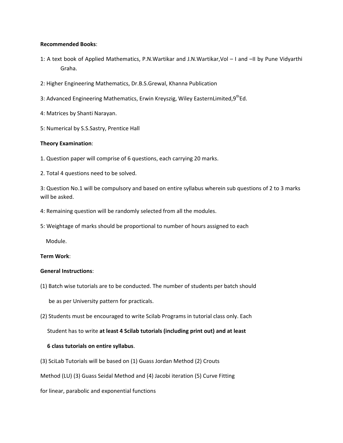#### **Recommended Books**:

- 1: A text book of Applied Mathematics, P.N.Wartikar and J.N.Wartikar,Vol I and –II by Pune Vidyarthi Graha.
- 2: Higher Engineering Mathematics, Dr.B.S.Grewal, Khanna Publication
- 3: Advanced Engineering Mathematics, Erwin Kreyszig, Wiley EasternLimited, 9<sup>th</sup>Ed.
- 4: Matrices by Shanti Narayan.
- 5: Numerical by S.S.Sastry, Prentice Hall

#### **Theory Examination**:

- 1. Question paper will comprise of 6 questions, each carrying 20 marks.
- 2. Total 4 questions need to be solved.

3: Question No.1 will be compulsory and based on entire syllabus wherein sub questions of 2 to 3 marks will be asked.

- 4: Remaining question will be randomly selected from all the modules.
- 5: Weightage of marks should be proportional to number of hours assigned to each

Module.

#### **Term Work**:

#### **General Instructions**:

(1) Batch wise tutorials are to be conducted. The number of students per batch should

be as per University pattern for practicals.

(2) Students must be encouraged to write Scilab Programs in tutorial class only. Each

Student has to write **at least 4 Scilab tutorials (including print out) and at least**

#### **6 class tutorials on entire syllabus**.

(3) SciLab Tutorials will be based on (1) Guass Jordan Method (2) Crouts

Method (LU) (3) Guass Seidal Method and (4) Jacobi iteration (5) Curve Fitting

for linear, parabolic and exponential functions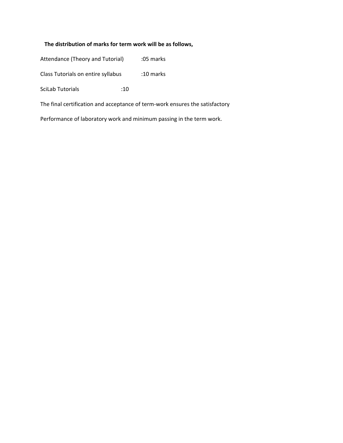#### **The distribution of marks for term work will be as follows,**

Attendance (Theory and Tutorial) :05 marks

Class Tutorials on entire syllabus :10 marks

SciLab Tutorials :10

The final certification and acceptance of term‐work ensures the satisfactory

Performance of laboratory work and minimum passing in the term work.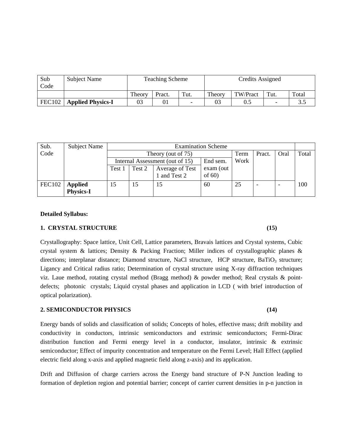| Sub<br>Code   | Subject Name             |        | <b>Teaching Scheme</b> |      | Credits Assigned |          |                          |       |  |
|---------------|--------------------------|--------|------------------------|------|------------------|----------|--------------------------|-------|--|
|               |                          | Theory | Pract.                 | Tut. | Theory           | TW/Pract | Tut.                     | Total |  |
| <b>FEC102</b> | <b>Applied Physics-I</b> |        | 01                     |      |                  |          | $\overline{\phantom{0}}$ | ر. ر  |  |

| Sub.          | Subject Name                       |        |        | <b>Examination Scheme</b>       |            |      |        |      |       |
|---------------|------------------------------------|--------|--------|---------------------------------|------------|------|--------|------|-------|
| Code          |                                    |        |        | Theory (out of 75)              |            | Term | Pract. | Oral | Total |
|               |                                    |        |        | Internal Assessment (out of 15) | End sem.   | Work |        |      |       |
|               |                                    | Test 1 | Test 2 | Average of Test                 | exam (out) |      |        |      |       |
|               |                                    |        |        | 1 and Test 2                    | of $60$    |      |        |      |       |
| <b>FEC102</b> | <b>Applied</b><br><b>Physics-I</b> | 15     | 15     | 15                              | 60         | 25   |        |      | 100   |

#### **Detailed Syllabus:**

#### **1. CRYSTAL STRUCTURE (15)**

Crystallography: Space lattice, Unit Cell, Lattice parameters, Bravais lattices and Crystal systems, Cubic crystal system & lattices; Density & Packing Fraction; Miller indices of crystallographic planes & directions; interplanar distance; Diamond structure, NaCl structure, HCP structure, BaTiO3 structure; Ligancy and Critical radius ratio; Determination of crystal structure using X-ray diffraction techniques viz. Laue method, rotating crystal method (Bragg method) & powder method; Real crystals & pointdefects; photonic crystals; Liquid crystal phases and application in LCD ( with brief introduction of optical polarization).

#### **2. SEMICONDUCTOR PHYSICS (14)**

Energy bands of solids and classification of solids; Concepts of holes, effective mass; drift mobility and conductivity in conductors, intrinsic semiconductors and extrinsic semiconductors; Fermi-Dirac distribution function and Fermi energy level in a conductor, insulator, intrinsic & extrinsic semiconductor; Effect of impurity concentration and temperature on the Fermi Level; Hall Effect (applied electric field along x-axis and applied magnetic field along z-axis) and its application.

Drift and Diffusion of charge carriers across the Energy band structure of P-N Junction leading to formation of depletion region and potential barrier; concept of carrier current densities in p-n junction in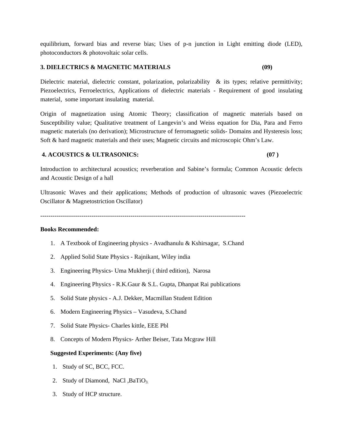equilibrium, forward bias and reverse bias; Uses of p-n junction in Light emitting diode (LED), photoconductors & photovoltaic solar cells.

#### **3. DIELECTRICS & MAGNETIC MATERIALS (09)**

Dielectric material, dielectric constant, polarization, polarizability & its types; relative permittivity; Piezoelectrics, Ferroelectrics, Applications of dielectric materials - Requirement of good insulating material, some important insulating material.

Origin of magnetization using Atomic Theory; classification of magnetic materials based on Susceptibility value; Qualitative treatment of Langevin's and Weiss equation for Dia, Para and Ferro magnetic materials (no derivation); Microstructure of ferromagnetic solids- Domains and Hysteresis loss; Soft & hard magnetic materials and their uses; Magnetic circuits and microscopic Ohm's Law.

#### **4. ACOUSTICS & ULTRASONICS: (07 )**

Introduction to architectural acoustics; reverberation and Sabine's formula; Common Acoustic defects and Acoustic Design of a hall

Ultrasonic Waves and their applications; Methods of production of ultrasonic waves (Piezoelectric Oscillator & Magnetostriction Oscillator)

----------------------------------------------------------------------------------------------------

#### **Books Recommended:**

- 1. A Textbook of Engineering physics Avadhanulu & Kshirsagar, S.Chand
- 2. Applied Solid State Physics Rajnikant, Wiley india
- 3. Engineering Physics- Uma Mukherji ( third edition), Narosa
- 4. Engineering Physics R.K.Gaur & S.L. Gupta, Dhanpat Rai publications
- 5. Solid State physics A.J. Dekker, Macmillan Student Edition
- 6. Modern Engineering Physics Vasudeva, S.Chand
- 7. Solid State Physics- Charles kittle, EEE Pbl
- 8. Concepts of Modern Physics- Arther Beiser, Tata Mcgraw Hill

#### **Suggested Experiments: (Any five)**

- 1. Study of SC, BCC, FCC.
- 2. Study of Diamond, NaCl , BaTiO<sub>3.</sub>
- 3. Study of HCP structure.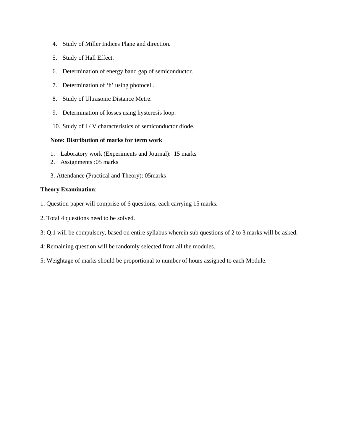- 4. Study of Miller Indices Plane and direction.
- 5. Study of Hall Effect.
- 6. Determination of energy band gap of semiconductor.
- 7. Determination of 'h' using photocell.
- 8. Study of Ultrasonic Distance Metre.
- 9. Determination of losses using hysteresis loop.
- 10. Study of I / V characteristics of semiconductor diode.

#### **Note: Distribution of marks for term work**

- 1. Laboratory work (Experiments and Journal): 15 marks
- 2. Assignments :05 marks
- 3. Attendance (Practical and Theory): 05marks

#### **Theory Examination**:

- 1. Question paper will comprise of 6 questions, each carrying 15 marks.
- 2. Total 4 questions need to be solved.
- 3: Q.1 will be compulsory, based on entire syllabus wherein sub questions of 2 to 3 marks will be asked.
- 4: Remaining question will be randomly selected from all the modules.
- 5: Weightage of marks should be proportional to number of hours assigned to each Module.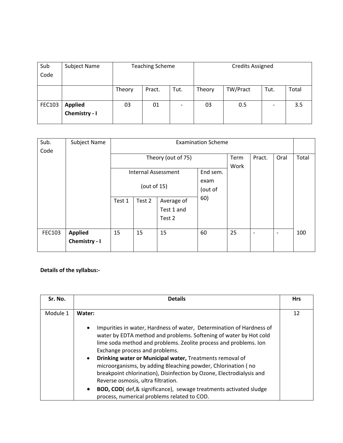| Sub<br>Code   | Subject Name                    |        | <b>Teaching Scheme</b> |      | <b>Credits Assigned</b> |          |      |       |  |
|---------------|---------------------------------|--------|------------------------|------|-------------------------|----------|------|-------|--|
|               |                                 | Theory | Pract.                 | Tut. | Theory                  | TW/Pract | Tut. | Total |  |
| <b>FEC103</b> | <b>Applied</b><br>Chemistry - I | 03     | 01                     |      | 0.5<br>03<br>3.5        |          |      |       |  |

| Sub.<br>Code | Subject Name                    |        | <b>Examination Scheme</b>                    |                    |                                    |        |                |                          |     |  |
|--------------|---------------------------------|--------|----------------------------------------------|--------------------|------------------------------------|--------|----------------|--------------------------|-----|--|
|              |                                 |        |                                              | Theory (out of 75) | Term<br>Work                       | Pract. | Oral           | Total                    |     |  |
|              |                                 |        | <b>Internal Assessment</b><br>(out of 15)    |                    | End sem.<br>exam<br>(out of<br>60) |        |                |                          |     |  |
|              |                                 | Test 1 | Test 2<br>Average of<br>Test 1 and<br>Test 2 |                    |                                    |        |                |                          |     |  |
| FEC103       | <b>Applied</b><br>Chemistry - I | 15     | 15                                           | 15                 | 60                                 | 25     | $\overline{a}$ | $\overline{\phantom{a}}$ | 100 |  |

**Details of the syllabus:‐** 

| Sr. No.  | <b>Details</b>                                                                                                                                                                                                                                                                                                                                                                                                                                                                                                                                                                                                                                               | <b>Hrs</b> |
|----------|--------------------------------------------------------------------------------------------------------------------------------------------------------------------------------------------------------------------------------------------------------------------------------------------------------------------------------------------------------------------------------------------------------------------------------------------------------------------------------------------------------------------------------------------------------------------------------------------------------------------------------------------------------------|------------|
| Module 1 | Water:                                                                                                                                                                                                                                                                                                                                                                                                                                                                                                                                                                                                                                                       | 12         |
|          | Impurities in water, Hardness of water, Determination of Hardness of<br>$\bullet$<br>water by EDTA method and problems. Softening of water by Hot cold<br>lime soda method and problems. Zeolite process and problems. Ion<br>Exchange process and problems.<br>Drinking water or Municipal water, Treatments removal of<br>$\bullet$<br>microorganisms, by adding Bleaching powder, Chlorination (no<br>breakpoint chlorination), Disinfection by Ozone, Electrodialysis and<br>Reverse osmosis, ultra filtration.<br><b>BOD, COD</b> (def, & significance), sewage treatments activated sludge<br>$\bullet$<br>process, numerical problems related to COD. |            |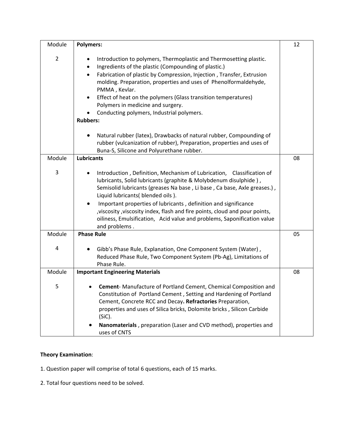| Module         | <b>Polymers:</b>                                                                                                                                                                                                                                                                                                                                                                                                                                                                                          | 12 |
|----------------|-----------------------------------------------------------------------------------------------------------------------------------------------------------------------------------------------------------------------------------------------------------------------------------------------------------------------------------------------------------------------------------------------------------------------------------------------------------------------------------------------------------|----|
| $\overline{2}$ | Introduction to polymers, Thermoplastic and Thermosetting plastic.<br>Ingredients of the plastic (Compounding of plastic.)<br>٠<br>Fabrication of plastic by Compression, Injection, Transfer, Extrusion<br>$\bullet$<br>molding. Preparation, properties and uses of Phenolformaldehyde,<br>PMMA, Kevlar.<br>Effect of heat on the polymers (Glass transition temperatures)<br>٠<br>Polymers in medicine and surgery.<br>Conducting polymers, Industrial polymers.<br><b>Rubbers:</b>                    |    |
|                | Natural rubber (latex), Drawbacks of natural rubber, Compounding of<br>rubber (vulcanization of rubber), Preparation, properties and uses of<br>Buna-S, Silicone and Polyurethane rubber.                                                                                                                                                                                                                                                                                                                 |    |
| Module         | <b>Lubricants</b>                                                                                                                                                                                                                                                                                                                                                                                                                                                                                         | 08 |
| 3              | Introduction, Definition, Mechanism of Lubrication, Classification of<br>lubricants, Solid lubricants (graphite & Molybdenum disulphide),<br>Semisolid lubricants (greases Na base, Li base, Ca base, Axle greases.),<br>Liquid lubricants( blended oils ).<br>Important properties of lubricants, definition and significance<br>, viscosity, viscosity index, flash and fire points, cloud and pour points,<br>oiliness, Emulsification, Acid value and problems, Saponification value<br>and problems. |    |
| Module         | <b>Phase Rule</b>                                                                                                                                                                                                                                                                                                                                                                                                                                                                                         | 05 |
| 4              | Gibb's Phase Rule, Explanation, One Component System (Water),<br>Reduced Phase Rule, Two Component System (Pb-Ag), Limitations of<br>Phase Rule.                                                                                                                                                                                                                                                                                                                                                          |    |
| Module         | <b>Important Engineering Materials</b>                                                                                                                                                                                                                                                                                                                                                                                                                                                                    | 08 |
| 5              | Cement-Manufacture of Portland Cement, Chemical Composition and<br>Constitution of Portland Cement, Setting and Hardening of Portland<br>Cement, Concrete RCC and Decay. Refractories Preparation,<br>properties and uses of Silica bricks, Dolomite bricks, Silicon Carbide<br>$(SiC)$ .<br>Nanomaterials, preparation (Laser and CVD method), properties and<br>uses of CNTS                                                                                                                            |    |

#### **Theory Examination**:

- 1. Question paper will comprise of total 6 questions, each of 15 marks.
- 2. Total four questions need to be solved.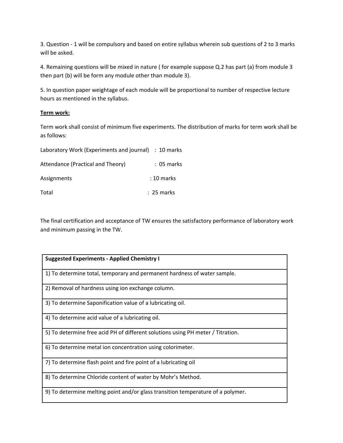3. Question ‐ 1 will be compulsory and based on entire syllabus wherein sub questions of 2 to 3 marks will be asked.

4. Remaining questions will be mixed in nature ( for example suppose Q.2 has part (a) from module 3 then part (b) will be form any module other than module 3).

5. In question paper weightage of each module will be proportional to number of respective lecture hours as mentioned in the syllabus.

#### **Term work:**

Term work shall consist of minimum five experiments. The distribution of marks for term work shall be as follows:

| Laboratory Work (Experiments and journal) : 10 marks |              |
|------------------------------------------------------|--------------|
| Attendance (Practical and Theory)                    | $: 05$ marks |
| Assignments                                          | $: 10$ marks |
| Total                                                | $: 25$ marks |

The final certification and acceptance of TW ensures the satisfactory performance of laboratory work and minimum passing in the TW.

| <b>Suggested Experiments - Applied Chemistry I</b>                              |
|---------------------------------------------------------------------------------|
| 1) To determine total, temporary and permanent hardness of water sample.        |
| 2) Removal of hardness using ion exchange column.                               |
| 3) To determine Saponification value of a lubricating oil.                      |
| 4) To determine acid value of a lubricating oil.                                |
| 5) To determine free acid PH of different solutions using PH meter / Titration. |
| 6) To determine metal ion concentration using colorimeter.                      |
| 7) To determine flash point and fire point of a lubricating oil                 |
| 8) To determine Chloride content of water by Mohr's Method.                     |
| 9) To determine melting point and/or glass transition temperature of a polymer. |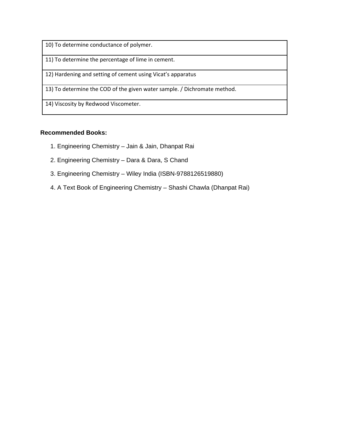10) To determine conductance of polymer.

11) To determine the percentage of lime in cement.

12) Hardening and setting of cement using Vicat's apparatus

13) To determine the COD of the given water sample. / Dichromate method.

14) Viscosity by Redwood Viscometer.

#### **Recommended Books:**

- 1. Engineering Chemistry Jain & Jain, Dhanpat Rai
- 2. Engineering Chemistry Dara & Dara, S Chand
- 3. Engineering Chemistry Wiley India (ISBN-9788126519880)
- 4. A Text Book of Engineering Chemistry Shashi Chawla (Dhanpat Rai)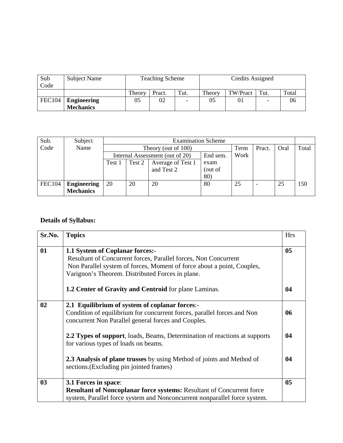| Sub<br>Code   | Subject Name       | <b>Teaching Scheme</b> |        |                          | Credits Assigned |          |                          |       |
|---------------|--------------------|------------------------|--------|--------------------------|------------------|----------|--------------------------|-------|
|               |                    | Theory                 | Pract. | Tut.                     | Theory           | TW/Pract | Tut.                     | Total |
| <b>FEC104</b> | <b>Engineering</b> | 05                     | 02     | $\overline{\phantom{a}}$ | 05               | 01       | $\overline{\phantom{0}}$ | 06    |
|               | <b>Mechanics</b>   |                        |        |                          |                  |          |                          |       |

| Sub.   | Subject            |        | <b>Examination Scheme</b>                   |                     |         |      |        |      |       |
|--------|--------------------|--------|---------------------------------------------|---------------------|---------|------|--------|------|-------|
| Code   | Name               |        |                                             | Theory (out of 100) |         | Term | Pract. | Oral | Total |
|        |                    |        | End sem.<br>Internal Assessment (out of 20) |                     |         |      |        |      |       |
|        |                    | Test 1 | Test 2                                      | Average of Test 1   | exam    |      |        |      |       |
|        |                    |        |                                             | and Test 2          | (out of |      |        |      |       |
|        |                    |        |                                             |                     | 80)     |      |        |      |       |
| FEC104 | <b>Engineering</b> | 20     | 20                                          | 20                  | 80      | 25   |        | 25   | 150   |
|        | <b>Mechanics</b>   |        |                                             |                     |         |      |        |      |       |

# **Details of Syllabus:**

| Sr.No. | <b>Topics</b>                                                                                                                                                                                                                    | <b>Hrs</b> |
|--------|----------------------------------------------------------------------------------------------------------------------------------------------------------------------------------------------------------------------------------|------------|
| 01     | 1.1 System of Coplanar forces:-<br>Resultant of Concurrent forces, Parallel forces, Non Concurrent<br>Non Parallel system of forces, Moment of force about a point, Couples,<br>Varignon's Theorem. Distributed Forces in plane. | 05         |
|        | 1.2 Center of Gravity and Centroid for plane Laminas.                                                                                                                                                                            | 04         |
| 02     | 2.1 Equilibrium of system of coplanar forces:-<br>Condition of equilibrium for concurrent forces, parallel forces and Non<br>concurrent Non Parallel general forces and Couples.                                                 | 06         |
|        | 2.2 Types of support, loads, Beams, Determination of reactions at supports<br>for various types of loads on beams.                                                                                                               | 04         |
|        | 2.3 Analysis of plane trusses by using Method of joints and Method of<br>sections. (Excluding pin jointed frames)                                                                                                                | 04         |
| 03     | 3.1 Forces in space:<br><b>Resultant of Noncoplanar force systems: Resultant of Concurrent force</b><br>system, Parallel force system and Nonconcurrent nonparallel force system.                                                | 05         |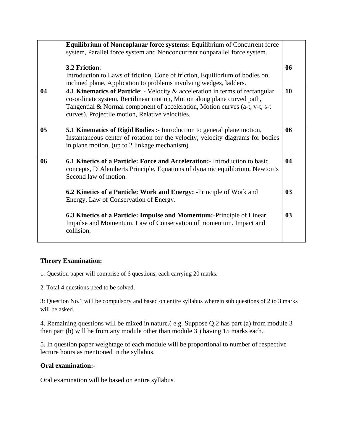|                | <b>Equilibrium of Noncoplanar force systems: Equilibrium of Concurrent force</b>                                                                                                  |                |
|----------------|-----------------------------------------------------------------------------------------------------------------------------------------------------------------------------------|----------------|
|                | system, Parallel force system and Nonconcurrent nonparallel force system.                                                                                                         |                |
|                |                                                                                                                                                                                   |                |
|                | 3.2 Friction:                                                                                                                                                                     | 06             |
|                | Introduction to Laws of friction, Cone of friction, Equilibrium of bodies on                                                                                                      |                |
|                | inclined plane, Application to problems involving wedges, ladders.                                                                                                                |                |
| 04             | <b>4.1 Kinematics of Particle:</b> - Velocity & acceleration in terms of rectangular<br>co-ordinate system, Rectilinear motion, Motion along plane curved path,                   | <b>10</b>      |
|                | Tangential & Normal component of acceleration, Motion curves (a-t, v-t, s-t<br>curves), Projectile motion, Relative velocities.                                                   |                |
|                |                                                                                                                                                                                   |                |
| 0 <sub>5</sub> | <b>5.1 Kinematics of Rigid Bodies</b> :- Introduction to general plane motion,                                                                                                    | 06             |
|                | Instantaneous center of rotation for the velocity, velocity diagrams for bodies                                                                                                   |                |
|                | in plane motion, (up to 2 linkage mechanism)                                                                                                                                      |                |
|                |                                                                                                                                                                                   |                |
| 06             | 6.1 Kinetics of a Particle: Force and Acceleration: Introduction to basic<br>concepts, D'Alemberts Principle, Equations of dynamic equilibrium, Newton's<br>Second law of motion. | 04             |
|                | 6.2 Kinetics of a Particle: Work and Energy: -Principle of Work and                                                                                                               | 0 <sub>3</sub> |
|                | Energy, Law of Conservation of Energy.                                                                                                                                            |                |
|                | 6.3 Kinetics of a Particle: Impulse and Momentum: Principle of Linear<br>Impulse and Momentum. Law of Conservation of momentum. Impact and<br>collision.                          | 0 <sub>3</sub> |
|                |                                                                                                                                                                                   |                |

## **Theory Examination:**

1. Question paper will comprise of 6 questions, each carrying 20 marks.

2. Total 4 questions need to be solved.

3: Question No.1 will be compulsory and based on entire syllabus wherein sub questions of 2 to 3 marks will be asked.

4. Remaining questions will be mixed in nature.( e.g. Suppose Q.2 has part (a) from module 3 then part (b) will be from any module other than module 3 ) having 15 marks each.

5. In question paper weightage of each module will be proportional to number of respective lecture hours as mentioned in the syllabus.

#### **Oral examination:-**

Oral examination will be based on entire syllabus.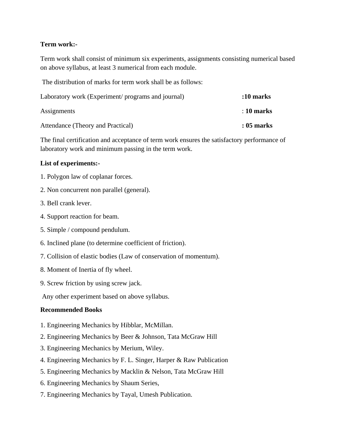#### **Term work:-**

Term work shall consist of minimum six experiments, assignments consisting numerical based on above syllabus, at least 3 numerical from each module.

The distribution of marks for term work shall be as follows:

| Laboratory work (Experiment/ programs and journal) | :10 marks             |
|----------------------------------------------------|-----------------------|
| Assignments                                        | $\therefore$ 10 marks |
| Attendance (Theory and Practical)                  | $: 05$ marks          |

The final certification and acceptance of term work ensures the satisfactory performance of laboratory work and minimum passing in the term work.

#### **List of experiments:-**

- 1. Polygon law of coplanar forces.
- 2. Non concurrent non parallel (general).
- 3. Bell crank lever.
- 4. Support reaction for beam.
- 5. Simple / compound pendulum.
- 6. Inclined plane (to determine coefficient of friction).
- 7. Collision of elastic bodies (Law of conservation of momentum).
- 8. Moment of Inertia of fly wheel.
- 9. Screw friction by using screw jack.

Any other experiment based on above syllabus.

#### **Recommended Books**

- 1. Engineering Mechanics by Hibblar, McMillan.
- 2. Engineering Mechanics by Beer & Johnson, Tata McGraw Hill
- 3. Engineering Mechanics by Merium, Wiley.
- 4. Engineering Mechanics by F. L. Singer, Harper & Raw Publication
- 5. Engineering Mechanics by Macklin & Nelson, Tata McGraw Hill
- 6. Engineering Mechanics by Shaum Series,
- 7. Engineering Mechanics by Tayal, Umesh Publication.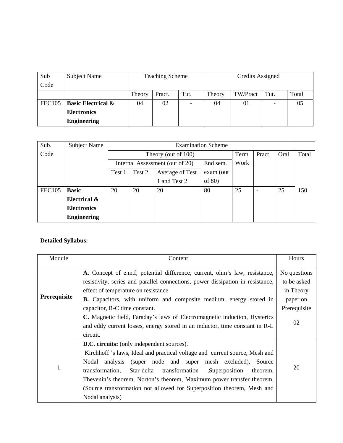| Sub           | Subject Name                  | <b>Teaching Scheme</b> |        |      | Credits Assigned |          |      |       |
|---------------|-------------------------------|------------------------|--------|------|------------------|----------|------|-------|
| Code          |                               |                        |        |      |                  |          |      |       |
|               |                               | Theory                 | Pract. | Tut. | Theory           | TW/Pract | Tut. | Total |
| <b>FEC105</b> | <b>Basic Electrical &amp;</b> | 04                     | 02     |      | 04               | 01       |      | 05    |
|               | <b>Electronics</b>            |                        |        |      |                  |          |      |       |
|               | <b>Engineering</b>            |                        |        |      |                  |          |      |       |

| Sub.          | <b>Subject Name</b>     |        | <b>Examination Scheme</b>                   |                     |           |      |        |      |       |
|---------------|-------------------------|--------|---------------------------------------------|---------------------|-----------|------|--------|------|-------|
| Code          |                         |        |                                             | Theory (out of 100) |           | Term | Pract. | Oral | Total |
|               |                         |        | End sem.<br>Internal Assessment (out of 20) |                     |           |      |        |      |       |
|               |                         | Test 1 | Test 2<br>Average of Test                   |                     |           |      |        |      |       |
|               |                         |        |                                             | and Test 2          | of $80$ ) |      |        |      |       |
| <b>FEC105</b> | <b>Basic</b>            | 20     | 20                                          | 20                  | 80        | 25   |        | 25   | 150   |
|               | <b>Electrical &amp;</b> |        |                                             |                     |           |      |        |      |       |
|               | <b>Electronics</b>      |        |                                             |                     |           |      |        |      |       |
|               | <b>Engineering</b>      |        |                                             |                     |           |      |        |      |       |

## **Detailed Syllabus:**

| Module       | Content                                                                                                                                                                                                                                                                                                                                                                                                                                                                            | Hours                                                                      |
|--------------|------------------------------------------------------------------------------------------------------------------------------------------------------------------------------------------------------------------------------------------------------------------------------------------------------------------------------------------------------------------------------------------------------------------------------------------------------------------------------------|----------------------------------------------------------------------------|
| Prerequisite | A. Concept of e.m.f, potential difference, current, ohm's law, resistance,<br>resistivity, series and parallel connections, power dissipation in resistance,<br>effect of temperature on resistance<br>B. Capacitors, with uniform and composite medium, energy stored in<br>capacitor, R-C time constant.<br>C. Magnetic field, Faraday's laws of Electromagnetic induction, Hysterics<br>and eddy current losses, energy stored in an inductor, time constant in R-L<br>circuit. | No questions<br>to be asked<br>in Theory<br>paper on<br>Prerequisite<br>02 |
| 1            | D.C. circuits: (only independent sources).<br>Kirchhoff's laws, Ideal and practical voltage and current source, Mesh and<br>Nodal<br>analysis (super node and super mesh excluded), Source<br>transformation,<br>Star-delta<br>transformation<br>,Superposition<br>theorem,<br>Thevenin's theorem, Norton's theorem, Maximum power transfer theorem,<br>(Source transformation not allowed for Superposition theorem, Mesh and<br>Nodal analysis)                                  | 20                                                                         |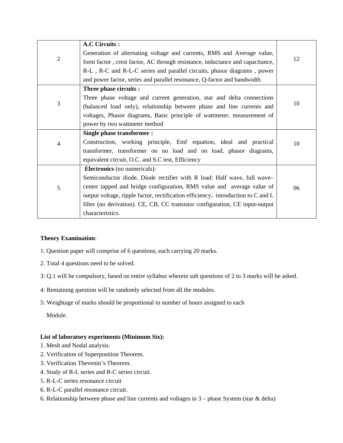|                | <b>A.C Circuits:</b>                                                             |    |
|----------------|----------------------------------------------------------------------------------|----|
|                | Generation of alternating voltage and currents, RMS and Average value,           |    |
| $\overline{2}$ | form factor, crest factor, AC through resistance, inductance and capacitance,    | 12 |
|                | R-L, R-C and R-L-C series and parallel circuits, phasor diagrams, power          |    |
|                | and power factor, series and parallel resonance, Q-factor and bandwidth          |    |
|                | Three phase circuits :                                                           |    |
|                | Three phase voltage and current generation, star and delta connections           |    |
| 3              | (balanced load only), relationship between phase and line currents and           | 10 |
|                | voltages, Phasor diagrams, Basic principle of wattmeter, measurement of          |    |
|                | power by two wattmeter method                                                    |    |
|                | Single phase transformer :                                                       |    |
| 4              | Construction, working principle, Emf equation, ideal and practical               | 10 |
|                | transformer, transformer on no load and on load, phasor diagrams,                |    |
|                | equivalent circuit, O.C. and S.C test, Efficiency                                |    |
|                | <b>Electronics</b> (no numericals):                                              |    |
| 5              | Semiconductor diode, Diode rectifier with R load: Half wave, full wave-          |    |
|                | center tapped and bridge configuration, RMS value and average value of           | 06 |
|                | output voltage, ripple factor, rectification efficiency, introduction to C and L |    |
|                | filter (no derivation). CE, CB, CC transistor configuration, CE input-output     |    |
|                | characteristics.                                                                 |    |

#### **Theory Examination**:

- 1. Question paper will comprise of 6 questions, each carrying 20 marks.
- 2. Total 4 questions need to be solved.
- 3: Q.1 will be compulsory, based on entire syllabus wherein sub questions of 2 to 3 marks will be asked.
- 4: Remaining question will be randomly selected from all the modules.
- 5: Weightage of marks should be proportional to number of hours assigned to each

Module.

#### **List of laboratory experiments (Minimum Six):**

- 1. Mesh and Nodal analysis.
- 2. Verification of Superposition Theorem.
- 3. Verification Thevenin's Theorem.
- 4. Study of R-L series and R-C series circuit.
- 5. R-L-C series resonance circuit
- 6. R-L-C parallel resonance circuit.
- 6. Relationship between phase and line currents and voltages in 3 phase System (star & delta)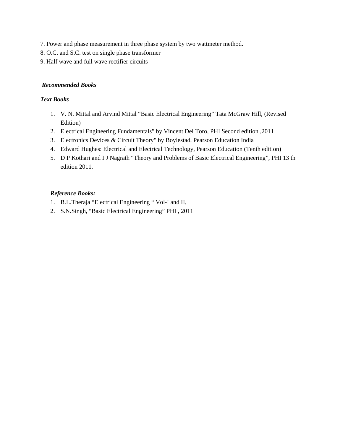- 7. Power and phase measurement in three phase system by two wattmeter method.
- 8. O.C. and S.C. test on single phase transformer
- 9. Half wave and full wave rectifier circuits

#### *Recommended Books*

#### *Text Books*

- 1. V. N. Mittal and Arvind Mittal "Basic Electrical Engineering" Tata McGraw Hill, (Revised Edition)
- 2. Electrical Engineering Fundamentals" by Vincent Del Toro, PHI Second edition ,2011
- 3. Electronics Devices & Circuit Theory" by Boylestad, Pearson Education India
- 4. Edward Hughes: Electrical and Electrical Technology, Pearson Education (Tenth edition)
- 5. D P Kothari and I J Nagrath "Theory and Problems of Basic Electrical Engineering", PHI 13 th edition 2011.

#### *Reference Books:*

- 1. B.L.Theraja "Electrical Engineering " Vol-I and II,
- 2. S.N.Singh, "Basic Electrical Engineering" PHI , 2011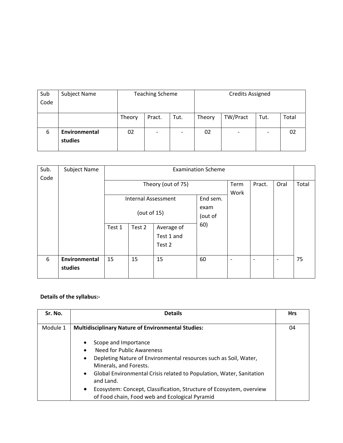| Sub<br>Code | Subject Name             | <b>Teaching Scheme</b> |                          |                          | <b>Credits Assigned</b> |          |      |       |
|-------------|--------------------------|------------------------|--------------------------|--------------------------|-------------------------|----------|------|-------|
|             |                          | Theory                 | Pract.                   | Tut.                     | Theory                  | TW/Pract | Tut. | Total |
| 6           | Environmental<br>studies | 02                     | $\overline{\phantom{0}}$ | $\overline{\phantom{0}}$ | 02                      |          |      | 02    |

| Sub.<br>Code | Subject Name             | <b>Examination Scheme</b>                 |                    |                                    |                             |                          |                          |                          |    |        |      |       |
|--------------|--------------------------|-------------------------------------------|--------------------|------------------------------------|-----------------------------|--------------------------|--------------------------|--------------------------|----|--------|------|-------|
|              |                          |                                           | Theory (out of 75) |                                    |                             |                          |                          |                          |    | Pract. | Oral | Total |
|              |                          | <b>Internal Assessment</b><br>(out of 15) |                    |                                    | End sem.<br>exam<br>(out of | Work                     |                          |                          |    |        |      |       |
|              |                          | Test 1                                    | Test 2             | Average of<br>Test 1 and<br>Test 2 | 60)                         |                          |                          |                          |    |        |      |       |
| 6            | Environmental<br>studies | 15                                        | 15                 | 15                                 | 60                          | $\overline{\phantom{0}}$ | $\overline{\phantom{0}}$ | $\overline{\phantom{0}}$ | 75 |        |      |       |

#### **Details of the syllabus:‐**

| Sr. No.  | <b>Details</b>                                                                                                                                                                                                                                                                                                                                                                                                                  | <b>Hrs</b> |
|----------|---------------------------------------------------------------------------------------------------------------------------------------------------------------------------------------------------------------------------------------------------------------------------------------------------------------------------------------------------------------------------------------------------------------------------------|------------|
| Module 1 | <b>Multidisciplinary Nature of Environmental Studies:</b>                                                                                                                                                                                                                                                                                                                                                                       | 04         |
|          | Scope and Importance<br>$\bullet$<br>Need for Public Awareness<br>$\bullet$<br>Depleting Nature of Environmental resources such as Soil, Water,<br>$\bullet$<br>Minerals, and Forests.<br>Global Environmental Crisis related to Population, Water, Sanitation<br>$\bullet$<br>and Land.<br>Ecosystem: Concept, Classification, Structure of Ecosystem, overview<br>$\bullet$<br>of Food chain, Food web and Ecological Pyramid |            |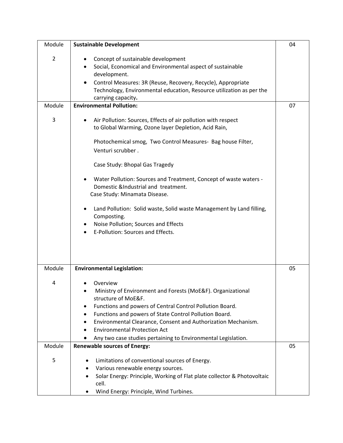| Module         | <b>Sustainable Development</b>                                                                                                                                                                                                                                                                                                                                                                                                                                                                                                                                    | 04 |
|----------------|-------------------------------------------------------------------------------------------------------------------------------------------------------------------------------------------------------------------------------------------------------------------------------------------------------------------------------------------------------------------------------------------------------------------------------------------------------------------------------------------------------------------------------------------------------------------|----|
| $\overline{2}$ | Concept of sustainable development<br>Social, Economical and Environmental aspect of sustainable<br>development.<br>Control Measures: 3R (Reuse, Recovery, Recycle), Appropriate<br>Technology, Environmental education, Resource utilization as per the<br>carrying capacity.                                                                                                                                                                                                                                                                                    |    |
| Module         | <b>Environmental Pollution:</b>                                                                                                                                                                                                                                                                                                                                                                                                                                                                                                                                   | 07 |
| 3              | Air Pollution: Sources, Effects of air pollution with respect<br>to Global Warming, Ozone layer Depletion, Acid Rain,<br>Photochemical smog, Two Control Measures- Bag house Filter,<br>Venturi scrubber.<br>Case Study: Bhopal Gas Tragedy<br>Water Pollution: Sources and Treatment, Concept of waste waters -<br>Domestic &Industrial and treatment.<br>Case Study: Minamata Disease.<br>Land Pollution: Solid waste, Solid waste Management by Land filling,<br>٠<br>Composting.<br>Noise Pollution; Sources and Effects<br>E-Pollution: Sources and Effects. |    |
|                |                                                                                                                                                                                                                                                                                                                                                                                                                                                                                                                                                                   |    |
| Module         | <b>Environmental Legislation:</b>                                                                                                                                                                                                                                                                                                                                                                                                                                                                                                                                 | 05 |
| 4              | Overview<br>Ministry of Environment and Forests (MoE&F). Organizational<br>structure of MoE&F.<br>Functions and powers of Central Control Pollution Board.<br>٠<br>Functions and powers of State Control Pollution Board.<br>Environmental Clearance, Consent and Authorization Mechanism.<br><b>Environmental Protection Act</b><br>Any two case studies pertaining to Environmental Legislation.                                                                                                                                                                |    |
| Module         | <b>Renewable sources of Energy:</b>                                                                                                                                                                                                                                                                                                                                                                                                                                                                                                                               | 05 |
| 5              | Limitations of conventional sources of Energy.<br>Various renewable energy sources.<br>Solar Energy: Principle, Working of Flat plate collector & Photovoltaic<br>cell.<br>Wind Energy: Principle, Wind Turbines.                                                                                                                                                                                                                                                                                                                                                 |    |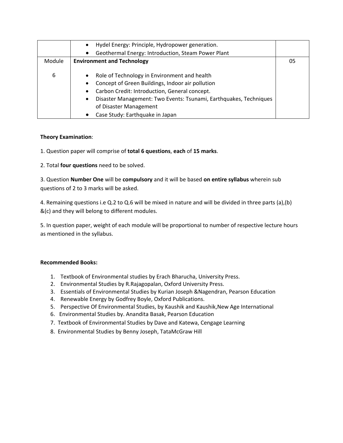|        | Hydel Energy: Principle, Hydropower generation.<br>$\bullet$                   |    |
|--------|--------------------------------------------------------------------------------|----|
|        | Geothermal Energy: Introduction, Steam Power Plant<br>$\bullet$                |    |
| Module | <b>Environment and Technology</b>                                              | 05 |
|        |                                                                                |    |
| 6      | Role of Technology in Environment and health<br>$\bullet$                      |    |
|        | Concept of Green Buildings, Indoor air pollution<br>$\bullet$                  |    |
|        | Carbon Credit: Introduction, General concept.<br>$\bullet$                     |    |
|        | Disaster Management: Two Events: Tsunami, Earthquakes, Techniques<br>$\bullet$ |    |
|        | of Disaster Management                                                         |    |
|        | Case Study: Earthquake in Japan                                                |    |

#### **Theory Examination**:

1. Question paper will comprise of **total 6 questions**, **each** of **15 marks**.

2. Total **four questions** need to be solved.

3. Question **Number One** will be **compulsory** and it will be based **on entire syllabus** wherein sub questions of 2 to 3 marks will be asked.

4. Remaining questions i.e Q.2 to Q.6 will be mixed in nature and will be divided in three parts (a),(b) &(c) and they will belong to different modules.

5. In question paper, weight of each module will be proportional to number of respective lecture hours as mentioned in the syllabus.

#### **Recommended Books:**

- 1. Textbook of Environmental studies by Erach Bharucha, University Press.
- 2. Environmental Studies by R.Rajagopalan, Oxford University Press.
- 3. Essentials of Environmental Studies by Kurian Joseph &Nagendran, Pearson Education
- 4. Renewable Energy by Godfrey Boyle, Oxford Publications.
- 5. Perspective Of Environmental Studies, by Kaushik and Kaushik,New Age International
- 6. Environmental Studies by. Anandita Basak, Pearson Education
- 7. Textbook of Environmental Studies by Dave and Katewa, Cengage Learning
- 8. Environmental Studies by Benny Joseph, TataMcGraw Hill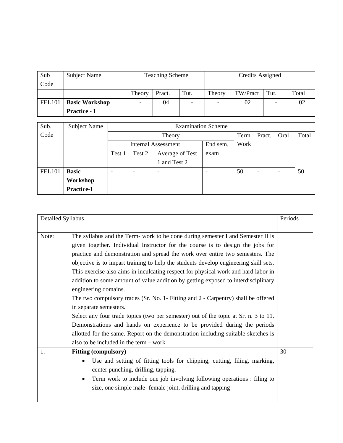| Sub           | <b>Subject Name</b>   |        | <b>Teaching Scheme</b> |      | Credits Assigned         |          |      |       |
|---------------|-----------------------|--------|------------------------|------|--------------------------|----------|------|-------|
| Code          |                       |        |                        |      |                          |          |      |       |
|               |                       | Theory | Pract.                 | Tut. | Theory                   | TW/Pract | Tut. | Total |
| <b>FEL101</b> | <b>Basic Workshop</b> |        | 04                     | ۰    | $\overline{\phantom{0}}$ | 02       |      | 02    |
|               | <b>Practice - I</b>   |        |                        |      |                          |          |      |       |

| Sub.          | <b>Subject Name</b> |        | <b>Examination Scheme</b>              |                 |      |      |        |      |       |
|---------------|---------------------|--------|----------------------------------------|-----------------|------|------|--------|------|-------|
| Code          |                     |        | Theory                                 |                 |      |      | Pract. | Oral | Total |
|               |                     |        | End sem.<br><b>Internal Assessment</b> |                 |      | Work |        |      |       |
|               |                     | Test 1 | Test 2                                 | Average of Test | exam |      |        |      |       |
|               |                     |        |                                        | and Test 2      |      |      |        |      |       |
| <b>FEL101</b> | <b>Basic</b>        | ۰      | ٠                                      | ٠               |      | 50   | ٠      | -    | 50    |
|               | Workshop            |        |                                        |                 |      |      |        |      |       |
|               | <b>Practice-I</b>   |        |                                        |                 |      |      |        |      |       |

| Detailed Syllabus |                                                                                       | Periods |
|-------------------|---------------------------------------------------------------------------------------|---------|
|                   |                                                                                       |         |
| Note:             | The syllabus and the Term- work to be done during semester I and Semester II is       |         |
|                   | given together. Individual Instructor for the course is to design the jobs for        |         |
|                   | practice and demonstration and spread the work over entire two semesters. The         |         |
|                   | objective is to impart training to help the students develop engineering skill sets.  |         |
|                   | This exercise also aims in inculcating respect for physical work and hard labor in    |         |
|                   | addition to some amount of value addition by getting exposed to interdisciplinary     |         |
|                   | engineering domains.                                                                  |         |
|                   | The two compulsory trades (Sr. No. 1- Fitting and 2 - Carpentry) shall be offered     |         |
|                   | in separate semesters.                                                                |         |
|                   | Select any four trade topics (two per semester) out of the topic at Sr. n. 3 to 11.   |         |
|                   | Demonstrations and hands on experience to be provided during the periods              |         |
|                   | allotted for the same. Report on the demonstration including suitable sketches is     |         |
|                   | also to be included in the term $-$ work                                              |         |
| 1.                | <b>Fitting (compulsory)</b>                                                           | 30      |
|                   | Use and setting of fitting tools for chipping, cutting, filing, marking,<br>$\bullet$ |         |
|                   | center punching, drilling, tapping.                                                   |         |
|                   | Term work to include one job involving following operations : filing to<br>$\bullet$  |         |
|                   | size, one simple male-female joint, drilling and tapping                              |         |
|                   |                                                                                       |         |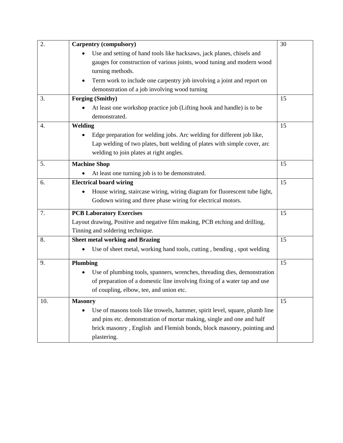| 2.  | <b>Carpentry (compulsory)</b>                                                           | 30 |
|-----|-----------------------------------------------------------------------------------------|----|
|     | Use and setting of hand tools like hacksaws, jack planes, chisels and                   |    |
|     | gauges for construction of various joints, wood tuning and modern wood                  |    |
|     | turning methods.                                                                        |    |
|     | Term work to include one carpentry job involving a joint and report on<br>$\bullet$     |    |
|     | demonstration of a job involving wood turning                                           |    |
| 3.  | <b>Forging (Smithy)</b>                                                                 | 15 |
|     | At least one workshop practice job (Lifting hook and handle) is to be                   |    |
|     | demonstrated.                                                                           |    |
| 4.  | Welding                                                                                 | 15 |
|     | Edge preparation for welding jobs. Arc welding for different job like,                  |    |
|     | Lap welding of two plates, butt welding of plates with simple cover, arc                |    |
|     | welding to join plates at right angles.                                                 |    |
| 5.  | <b>Machine Shop</b>                                                                     | 15 |
|     | At least one turning job is to be demonstrated.                                         |    |
| 6.  | <b>Electrical board wiring</b>                                                          | 15 |
|     | House wiring, staircase wiring, wiring diagram for fluorescent tube light,              |    |
|     | Godown wiring and three phase wiring for electrical motors.                             |    |
| 7.  | <b>PCB Laboratory Exercises</b>                                                         | 15 |
|     | Layout drawing, Positive and negative film making, PCB etching and drilling,            |    |
|     | Tinning and soldering technique.                                                        |    |
| 8.  | <b>Sheet metal working and Brazing</b>                                                  | 15 |
|     | Use of sheet metal, working hand tools, cutting, bending, spot welding                  |    |
| 9.  | Plumbing                                                                                | 15 |
|     | Use of plumbing tools, spanners, wrenches, threading dies, demonstration                |    |
|     | of preparation of a domestic line involving fixing of a water tap and use               |    |
|     | of coupling, elbow, tee, and union etc.                                                 |    |
| 10. | <b>Masonry</b>                                                                          | 15 |
|     | Use of masons tools like trowels, hammer, spirit level, square, plumb line<br>$\bullet$ |    |
|     | and pins etc. demonstration of mortar making, single and one and half                   |    |
|     | brick masonry, English and Flemish bonds, block masonry, pointing and                   |    |
|     | plastering.                                                                             |    |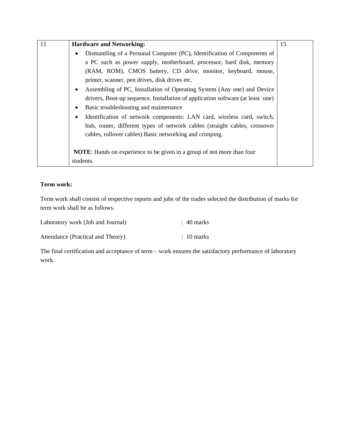| $\overline{11}$ |           | <b>Hardware and Networking:</b>                                                | 15 |
|-----------------|-----------|--------------------------------------------------------------------------------|----|
|                 | ٠         | Dismantling of a Personal Computer (PC), Identification of Components of       |    |
|                 |           | a PC such as power supply, motherboard, processor, hard disk, memory           |    |
|                 |           | (RAM, ROM), CMOS battery, CD drive, monitor, keyboard, mouse,                  |    |
|                 |           | printer, scanner, pen drives, disk drives etc.                                 |    |
|                 | $\bullet$ | Assembling of PC, Installation of Operating System (Any one) and Device        |    |
|                 |           | drivers, Boot-up sequence. Installation of application software (at least one) |    |
|                 | $\bullet$ | Basic troubleshooting and maintenance                                          |    |
|                 | $\bullet$ | Identification of network components: LAN card, wireless card, switch,         |    |
|                 |           | hub, router, different types of network cables (straight cables, crossover     |    |
|                 |           | cables, rollover cables) Basic networking and crimping.                        |    |
|                 |           |                                                                                |    |
|                 |           | <b>NOTE:</b> Hands on experience to be given in a group of not more than four  |    |
|                 |           | students.                                                                      |    |

#### **Term work:**

Term work shall consist of respective reports and jobs of the trades selected the distribution of marks for term work shall be as follows.

| Laboratory work (Job and Journal) | $\therefore$ 40 marks |
|-----------------------------------|-----------------------|
| Attendance (Practical and Theory) | $\therefore$ 10 marks |

The final certification and acceptance of term – work ensures the satisfactory performance of laboratory work.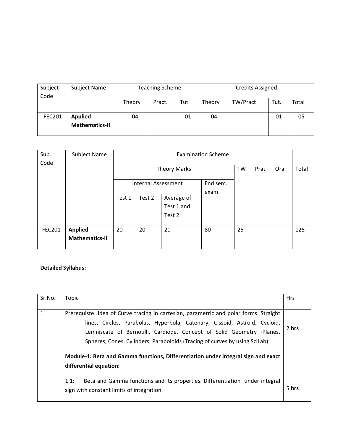| Subject<br>Subject Name<br>Code |                                         | <b>Teaching Scheme</b> |        |      | <b>Credits Assigned</b> |          |      |       |
|---------------------------------|-----------------------------------------|------------------------|--------|------|-------------------------|----------|------|-------|
|                                 |                                         | Theory                 | Pract. | Tut. | Theory                  | TW/Pract | Tut. | Total |
| <b>FEC201</b>                   | <b>Applied</b><br><b>Mathematics-II</b> | 04<br>01               |        |      | 04                      |          | 01   | 05    |

| Sub.          | Subject Name          |        | <b>Examination Scheme</b>  |                     |    |    |                          |      |       |  |
|---------------|-----------------------|--------|----------------------------|---------------------|----|----|--------------------------|------|-------|--|
| Code          |                       |        |                            | <b>Theory Marks</b> |    | TW | Prat                     | Oral | Total |  |
|               |                       |        | <b>Internal Assessment</b> |                     |    |    |                          |      |       |  |
|               |                       | Test 1 | Test 2                     | exam                |    |    |                          |      |       |  |
|               |                       |        |                            | Test 1 and          |    |    |                          |      |       |  |
|               |                       |        |                            | Test 2              |    |    |                          |      |       |  |
| <b>FEC201</b> | <b>Applied</b>        | 20     | 20                         | 20                  | 80 | 25 | $\overline{\phantom{a}}$ | ٠    | 125   |  |
|               | <b>Mathematics-II</b> |        |                            |                     |    |    |                          |      |       |  |

## **Detailed Syllabus:**

| Sr.No. | <b>Topic</b>                                                                                                                                                                                                                                                                                                                | <b>Hrs</b> |
|--------|-----------------------------------------------------------------------------------------------------------------------------------------------------------------------------------------------------------------------------------------------------------------------------------------------------------------------------|------------|
| 1      | Prerequiste: Idea of Curve tracing in cartesian, parametric and polar forms. Straight<br>lines, Circles, Parabolas, Hyperbola, Catenary, Cissoid, Astroid, Cycloid,<br>Lemniscate of Bernoulli, Cardiode. Concept of Solid Geometry -Planes,<br>Spheres, Cones, Cylinders, Paraboloids (Tracing of curves by using SciLab). | 2 hrs      |
|        | Module-1: Beta and Gamma functions, Differentiation under Integral sign and exact<br>differential equation:                                                                                                                                                                                                                 |            |
|        | Beta and Gamma functions and its properties. Differentiation under integral<br>1.1:<br>sign with constant limits of integration.                                                                                                                                                                                            | .5 hrs     |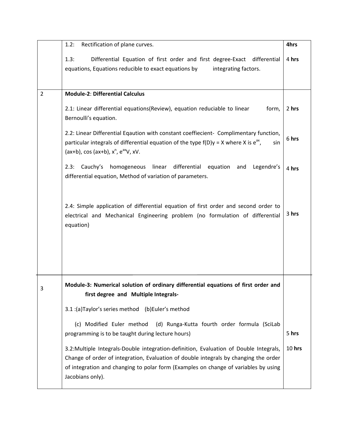|                | Rectification of plane curves.<br>1.2:                                                                                                                                                                                                                                                    | 4hrs          |
|----------------|-------------------------------------------------------------------------------------------------------------------------------------------------------------------------------------------------------------------------------------------------------------------------------------------|---------------|
|                | Differential Equation of first order and first degree-Exact differential<br>1.3:<br>equations, Equations reducible to exact equations by<br>integrating factors.                                                                                                                          | 4 hrs         |
| $\overline{2}$ | <b>Module-2: Differential Calculus</b>                                                                                                                                                                                                                                                    |               |
|                | 2.1: Linear differential equations(Review), equation reduciable to linear<br>form,<br>Bernoulli's equation.                                                                                                                                                                               | 2 hrs         |
|                | 2.2: Linear Differential Eqaution with constant coeffiecient- Complimentary function,<br>particular integrals of differential equation of the type $f(D)y = X$ where X is $e^{ax}$ ,<br>sin<br>(ax+b), cos (ax+b), $x^n$ , $e^{ax}V$ , xV.                                                | 6 hrs         |
|                | homogeneous linear differential equation and<br>Legendre's<br>2.3: Cauchy's<br>differential equation, Method of variation of parameters.                                                                                                                                                  | 4 hrs         |
|                | 2.4: Simple application of differential equation of first order and second order to<br>electrical and Mechanical Engineering problem (no formulation of differential<br>equation)                                                                                                         | 3 hrs         |
|                |                                                                                                                                                                                                                                                                                           |               |
| 3              | Module-3: Numerical solution of ordinary differential equations of first order and<br>first degree and Multiple Integrals-                                                                                                                                                                |               |
|                | 3.1 :(a)Taylor's series method (b)Euler's method                                                                                                                                                                                                                                          |               |
|                | (c) Modified Euler method<br>(d) Runga-Kutta fourth order formula (SciLab<br>programming is to be taught during lecture hours)                                                                                                                                                            | 5 hrs         |
|                | 3.2: Multiple Integrals-Double integration-definition, Evaluation of Double Integrals,<br>Change of order of integration, Evaluation of double integrals by changing the order<br>of integration and changing to polar form (Examples on change of variables by using<br>Jacobians only). | <b>10 hrs</b> |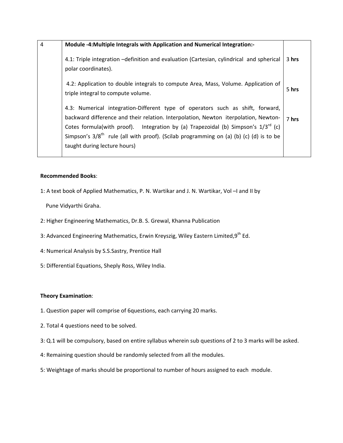| 4 | Module -4: Multiple Integrals with Application and Numerical Integration:-                                                                                                                                                                                                                                                                                                                            |       |
|---|-------------------------------------------------------------------------------------------------------------------------------------------------------------------------------------------------------------------------------------------------------------------------------------------------------------------------------------------------------------------------------------------------------|-------|
|   | 4.1: Triple integration -definition and evaluation (Cartesian, cylindrical and spherical<br>polar coordinates).                                                                                                                                                                                                                                                                                       | 3 hrs |
|   | 4.2: Application to double integrals to compute Area, Mass, Volume. Application of<br>triple integral to compute volume.                                                                                                                                                                                                                                                                              | 5 hrs |
|   | 4.3: Numerical integration-Different type of operators such as shift, forward,<br>backward difference and their relation. Interpolation, Newton iterpolation, Newton-<br>Cotes formula(with proof). Integration by (a) Trapezoidal (b) Simpson's $1/3^{rd}$ (c)<br>Simpson's 3/8 <sup>th</sup> rule (all with proof). (Scilab programming on (a) (b) (c) (d) is to be<br>taught during lecture hours) | 7 hrs |
|   |                                                                                                                                                                                                                                                                                                                                                                                                       |       |

#### **Recommended Books**:

1: A text book of Applied Mathematics, P. N. Wartikar and J. N. Wartikar, Vol –I and II by

Pune Vidyarthi Graha.

- 2: Higher Engineering Mathematics, Dr.B. S. Grewal, Khanna Publication
- 3: Advanced Engineering Mathematics, Erwin Kreyszig, Wiley Eastern Limited, 9<sup>th</sup> Ed.
- 4: Numerical Analysis by S.S.Sastry, Prentice Hall
- 5: Differential Equations, Sheply Ross, Wiley India.

#### **Theory Examination**:

- 1. Question paper will comprise of 6questions, each carrying 20 marks.
- 2. Total 4 questions need to be solved.
- 3: Q.1 will be compulsory, based on entire syllabus wherein sub questions of 2 to 3 marks will be asked.
- 4: Remaining question should be randomly selected from all the modules.
- 5: Weightage of marks should be proportional to number of hours assigned to each module.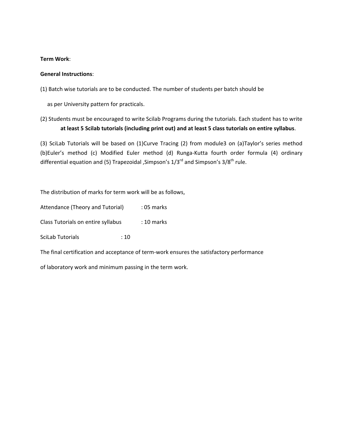#### **Term Work**:

#### **General Instructions**:

(1) Batch wise tutorials are to be conducted. The number of students per batch should be

as per University pattern for practicals.

#### (2) Students must be encouraged to write Scilab Programs during the tutorials. Each student has to write **at least 5 Scilab tutorials (including print out) and at least 5 class tutorials on entire syllabus**.

(3) SciLab Tutorials will be based on (1)Curve Tracing (2) from module3 on (a)Taylor's series method (b)Euler's method (c) Modified Euler method (d) Runga‐Kutta fourth order formula (4) ordinary differential equation and (5) Trapezoidal , Simpson's  $1/3^{rd}$  and Simpson's  $3/8^{th}$  rule.

The distribution of marks for term work will be as follows,

|  | Attendance (Theory and Tutorial) |  |  | : 05 marks |
|--|----------------------------------|--|--|------------|
|--|----------------------------------|--|--|------------|

Class Tutorials on entire syllabus : 10 marks

SciLab Tutorials : 10

The final certification and acceptance of term‐work ensures the satisfactory performance

of laboratory work and minimum passing in the term work.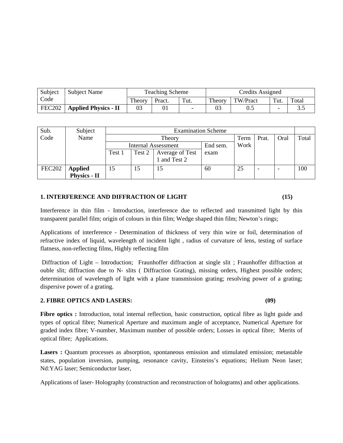| Subject       | <b>Subject Name</b>         | <b>Teaching Scheme</b>   |    |  | Credits Assigned |                 |      |       |
|---------------|-----------------------------|--------------------------|----|--|------------------|-----------------|------|-------|
| Code          |                             | Tut.<br>Theory<br>Pract. |    |  | Theory           | <b>TW/Pract</b> | Tut. | Total |
| <b>FEC202</b> | <b>Applied Physics - II</b> | 03                       | 01 |  |                  | 0.5             |      | ن د   |

| Sub.          | Subject             |        | <b>Examination Scheme</b>              |                 |      |      |       |      |       |
|---------------|---------------------|--------|----------------------------------------|-----------------|------|------|-------|------|-------|
| Code          | Name                |        |                                        | Theory          |      | Term | Prat. | Oral | Total |
|               |                     |        | End sem.<br><b>Internal Assessment</b> |                 |      |      |       |      |       |
|               |                     | Test 1 | Test 2                                 | Average of Test | exam |      |       |      |       |
|               |                     |        |                                        |                 |      |      |       |      |       |
| <b>FEC202</b> | <b>Applied</b>      | 15     | 15                                     | 15              | 60   | 25   |       |      | 100   |
|               | <b>Physics - II</b> |        |                                        |                 |      |      |       |      |       |

#### **1. INTERFERENCE AND DIFFRACTION OF LIGHT (15)**

Interference in thin film - Introduction, interference due to reflected and transmitted light by thin transparent parallel film; origin of colours in thin film; Wedge shaped thin film; Newton's rings;

Applications of interference - Determination of thickness of very thin wire or foil, determination of refractive index of liquid, wavelength of incident light , radius of curvature of lens, testing of surface flatness, non-reflecting films, Highly reflecting film

 Diffraction of Light – Introduction; Fraunhoffer diffraction at single slit ; Fraunhoffer diffraction at ouble slit; diffraction due to N- slits ( Diffraction Grating), missing orders, Highest possible orders; determination of wavelength of light with a plane transmission grating; resolving power of a grating; dispersive power of a grating.

#### **2. FIBRE OPTICS AND LASERS: (09)**

#### **Fibre optics :** Introduction, total internal reflection, basic construction, optical fibre as light guide and types of optical fibre; Numerical Aperture and maximum angle of acceptance, Numerical Aperture for graded index fibre; V-number, Maximum number of possible orders; Losses in optical fibre; Merits of optical fibre; Applications.

**Lasers :** Quantum processes as absorption, spontaneous emission and stimulated emission; metastable states, population inversion, pumping, resonance cavity, Einsteins's equations; Helium Neon laser; Nd:YAG laser; Semiconductor laser,

Applications of laser- Holography (construction and reconstruction of holograms) and other applications.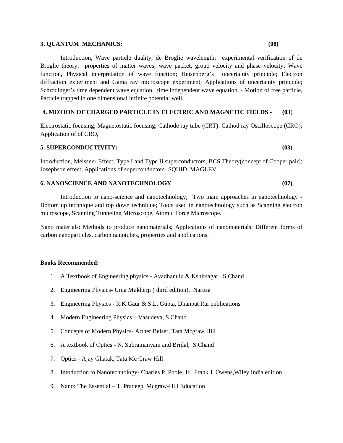#### **3. QUANTUM MECHANICS: (08)**

Introduction, Wave particle duality, de Broglie wavelength; experimental verification of de Broglie theory; properties of matter waves; wave packet, group velocity and phase velocity; Wave function, Physical interpretation of wave function; Heisenberg's uncertainty principle; Electron diffraction experiment and Gama ray microscope experiment; Applications of uncertainty principle; Schrodinger's time dependent wave equation, time independent wave equation, - Motion of free particle, Particle trapped in one dimensional infinite potential well.

#### **4. MOTION OF CHARGED PARTICLE IN ELECTRIC AND MAGNETIC FIELDS - (03**)

Electrostatic focusing; Magnetostatic focusing; Cathode ray tube (CRT); Cathod ray Oscilloscope (CRO); Application of of CRO,

#### **5. SUPERCONDUCTIVITY: (03)**

Introduction, Meissner Effect; Type I and Type II superconductors; BCS Theory(concept of Cooper pair); Josephson effect; Applications of superconductors- SQUID, MAGLEV

#### **6. NANOSCIENCE AND NANOTECHNOLOGY (07)**

Introduction to nano-science and nanotechnology; Two main approaches in nanotechnology - Bottom up technique and top down technique; Tools used in nanotechnology such as Scanning electron microscope, Scanning Tunneling Microscope, Atomic Force Microscope.

Nano materials: Methods to produce nanomaterials; Applications of nanomaterials; Different forms of carbon nanoparticles, carbon nanotubes, properties and applications.

#### **Books Recommended:**

- 1. A Textbook of Engineering physics Avadhanulu & Kshirsagar, S.Chand
- 2. Engineering Physics- Uma Mukherji ( third edition), Narosa
- 3. Engineering Physics R.K.Gaur & S.L. Gupta, Dhanpat Rai publications
- 4. Modern Engineering Physics Vasudeva, S.Chand
- 5. Concepts of Modern Physics- Arther Beiser, Tata Mcgraw Hill
- 6. A textbook of Optics N. Subramanyam and Brijlal, S.Chand
- 7. Optics Ajay Ghatak, Tata Mc Graw Hill
- 8. Intoduction to Nanotechnology- Charles P. Poole, Jr., Frank J. Owens,Wiley India edition
- 9. Nano: The Essential T. Pradeep, Mcgraw-Hill Education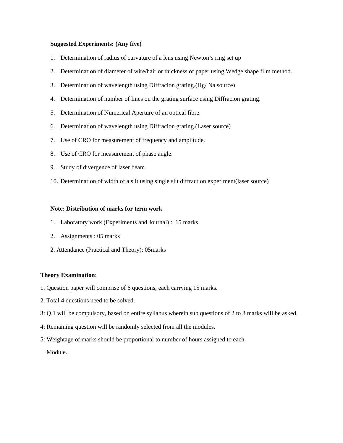#### **Suggested Experiments: (Any five)**

- 1. Determination of radius of curvature of a lens using Newton's ring set up
- 2. Determination of diameter of wire/hair or thickness of paper using Wedge shape film method.
- 3. Determination of wavelength using Diffracion grating.(Hg/ Na source)
- 4. Determination of number of lines on the grating surface using Diffracion grating.
- 5. Determination of Numerical Aperture of an optical fibre.
- 6. Determination of wavelength using Diffracion grating.(Laser source)
- 7. Use of CRO for measurement of frequency and amplitude.
- 8. Use of CRO for measurement of phase angle.
- 9. Study of divergence of laser beam
- 10. Determination of width of a slit using single slit diffraction experiment(laser source)

#### **Note: Distribution of marks for term work**

- 1. Laboratory work (Experiments and Journal) : 15 marks
- 2. Assignments : 05 marks
- 2. Attendance (Practical and Theory): 05marks

#### **Theory Examination**:

- 1. Question paper will comprise of 6 questions, each carrying 15 marks.
- 2. Total 4 questions need to be solved.
- 3: Q.1 will be compulsory, based on entire syllabus wherein sub questions of 2 to 3 marks will be asked.
- 4: Remaining question will be randomly selected from all the modules.
- 5: Weightage of marks should be proportional to number of hours assigned to each Module.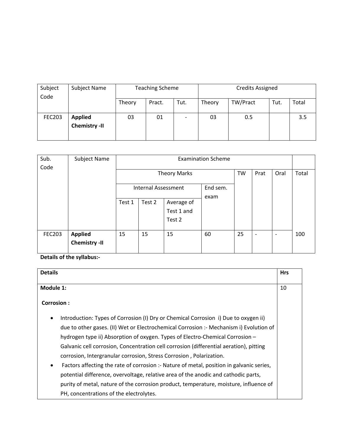| Subject<br>Code | Subject Name                           | <b>Teaching Scheme</b>   |    |  | <b>Credits Assigned</b> |          |      |       |
|-----------------|----------------------------------------|--------------------------|----|--|-------------------------|----------|------|-------|
|                 |                                        | Theory<br>Tut.<br>Pract. |    |  | Theory                  | TW/Pract | Tut. | Total |
| <b>FEC203</b>   | <b>Applied</b><br><b>Chemistry -II</b> | 03                       | 01 |  | 03                      | 0.5      |      | 3.5   |

| Sub.          | Subject Name         |        | <b>Examination Scheme</b>  |            |    |    |                          |      |       |
|---------------|----------------------|--------|----------------------------|------------|----|----|--------------------------|------|-------|
| Code          |                      |        | <b>Theory Marks</b>        |            |    |    |                          | Oral | Total |
|               |                      |        | <b>Internal Assessment</b> |            |    |    |                          |      |       |
|               |                      | Test 1 | Test 2                     | exam       |    |    |                          |      |       |
|               |                      |        |                            | Test 1 and |    |    |                          |      |       |
|               |                      |        |                            | Test 2     |    |    |                          |      |       |
| <b>FEC203</b> | <b>Applied</b>       | 15     | 15                         | 15         | 60 | 25 | $\overline{\phantom{a}}$ | -    | 100   |
|               | <b>Chemistry -II</b> |        |                            |            |    |    |                          |      |       |

**Details of the syllabus:‐** 

| <b>Details</b>                                                                                        | <b>Hrs</b> |
|-------------------------------------------------------------------------------------------------------|------------|
| Module 1:                                                                                             | 10         |
| Corrosion:                                                                                            |            |
| Introduction: Types of Corrosion (I) Dry or Chemical Corrosion i) Due to oxygen ii)<br>$\bullet$      |            |
| due to other gases. (II) Wet or Electrochemical Corrosion :- Mechanism i) Evolution of                |            |
| hydrogen type ii) Absorption of oxygen. Types of Electro-Chemical Corrosion -                         |            |
| Galvanic cell corrosion, Concentration cell corrosion (differential aeration), pitting                |            |
| corrosion, Intergranular corrosion, Stress Corrosion, Polarization.                                   |            |
| Factors affecting the rate of corrosion :- Nature of metal, position in galvanic series,<br>$\bullet$ |            |
| potential difference, overvoltage, relative area of the anodic and cathodic parts,                    |            |
| purity of metal, nature of the corrosion product, temperature, moisture, influence of                 |            |
| PH, concentrations of the electrolytes.                                                               |            |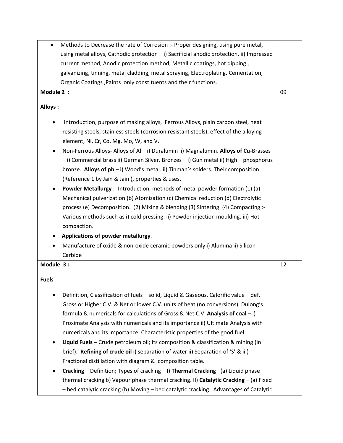| $\bullet$      | Methods to Decrease the rate of Corrosion :- Proper designing, using pure metal,          |    |
|----------------|-------------------------------------------------------------------------------------------|----|
|                | using metal alloys, Cathodic protection - i) Sacrificial anodic protection, ii) Impressed |    |
|                | current method, Anodic protection method, Metallic coatings, hot dipping,                 |    |
|                | galvanizing, tinning, metal cladding, metal spraying, Electroplating, Cementation,        |    |
|                | Organic Coatings , Paints only constituents and their functions.                          |    |
| Module 2 :     |                                                                                           | 09 |
| <b>Alloys:</b> |                                                                                           |    |
| $\bullet$      | Introduction, purpose of making alloys, Ferrous Alloys, plain carbon steel, heat          |    |
|                | resisting steels, stainless steels (corrosion resistant steels), effect of the alloying   |    |
|                | element, Ni, Cr, Co, Mg, Mo, W, and V.                                                    |    |
| $\bullet$      | Non-Ferrous Alloys-Alloys of $Al - i$ ) Duralumin ii) Magnalumin. Alloys of Cu-Brasses    |    |
|                | -i) Commercial brass ii) German Silver. Bronzes - i) Gun metal ii) High - phosphorus      |    |
|                | bronze. Alloys of $pb - i$ ) Wood's metal. ii) Tinman's solders. Their composition        |    |
|                | (Reference 1 by Jain & Jain), properties & uses.                                          |    |
| $\bullet$      | Powder Metallurgy :- Introduction, methods of metal powder formation (1) (a)              |    |
|                | Mechanical pulverization (b) Atomization (c) Chemical reduction (d) Electrolytic          |    |
|                | process (e) Decomposition. (2) Mixing & blending (3) Sintering. (4) Compacting :-         |    |
|                | Various methods such as i) cold pressing. ii) Powder injection moulding. iii) Hot         |    |
|                | compaction.                                                                               |    |
|                | Applications of powder metallurgy.                                                        |    |
|                | Manufacture of oxide & non-oxide ceramic powders only i) Alumina ii) Silicon              |    |
|                | Carbide                                                                                   |    |
| Module 3:      |                                                                                           | 12 |
| <b>Fuels</b>   |                                                                                           |    |
| $\bullet$      | Definition, Classification of fuels - solid, Liquid & Gaseous. Calorific value - def.     |    |
|                | Gross or Higher C.V. & Net or lower C.V. units of heat (no conversions). Dulong's         |    |
|                | formula & numericals for calculations of Gross & Net C.V. Analysis of coal - i)           |    |
|                | Proximate Analysis with numericals and its importance ii) Ultimate Analysis with          |    |
|                | numericals and its importance, Characteristic properties of the good fuel.                |    |
| ٠              | Liquid Fuels - Crude petroleum oil; its composition & classification & mining (in         |    |
|                | brief). Refining of crude oil i) separation of water ii) Separation of 'S' & iii)         |    |
|                | Fractional distillation with diagram & composition table.                                 |    |
| $\bullet$      | Cracking - Definition; Types of cracking - I) Thermal Cracking- (a) Liquid phase          |    |
|                | thermal cracking b) Vapour phase thermal cracking. II) Catalytic Cracking - (a) Fixed     |    |
|                | - bed catalytic cracking (b) Moving - bed catalytic cracking. Advantages of Catalytic     |    |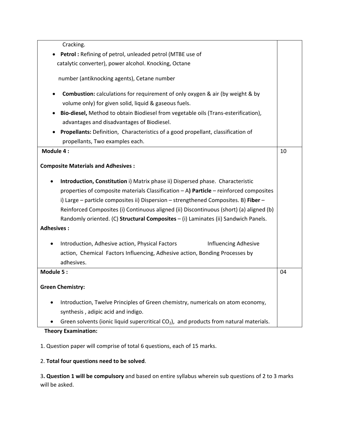| Cracking.                                                                                                                                                                   |    |
|-----------------------------------------------------------------------------------------------------------------------------------------------------------------------------|----|
| Petrol: Refining of petrol, unleaded petrol (MTBE use of                                                                                                                    |    |
| catalytic converter), power alcohol. Knocking, Octane                                                                                                                       |    |
| number (antiknocking agents), Cetane number                                                                                                                                 |    |
| <b>Combustion:</b> calculations for requirement of only oxygen & air (by weight & by<br>$\bullet$<br>volume only) for given solid, liquid & gaseous fuels.                  |    |
| Bio-diesel, Method to obtain Biodiesel from vegetable oils (Trans-esterification),<br>advantages and disadvantages of Biodiesel.                                            |    |
| Propellants: Definition, Characteristics of a good propellant, classification of                                                                                            |    |
| propellants, Two examples each.                                                                                                                                             |    |
| Module 4:                                                                                                                                                                   | 10 |
| <b>Composite Materials and Adhesives:</b>                                                                                                                                   |    |
| Introduction, Constitution i) Matrix phase ii) Dispersed phase. Characteristic                                                                                              |    |
| properties of composite materials Classification $-A$ ) Particle – reinforced composites                                                                                    |    |
| i) Large - particle composites ii) Dispersion - strengthened Composites. B) Fiber -                                                                                         |    |
| Reinforced Composites (i) Continuous aligned (ii) Discontinuous (short) (a) aligned (b)                                                                                     |    |
| Randomly oriented. (C) Structural Composites - (i) Laminates (ii) Sandwich Panels.                                                                                          |    |
| <b>Adhesives:</b>                                                                                                                                                           |    |
| Introduction, Adhesive action, Physical Factors<br><b>Influencing Adhesive</b><br>action, Chemical Factors Influencing, Adhesive action, Bonding Processes by<br>adhesives. |    |
| <b>Module 5:</b>                                                                                                                                                            | 04 |
| <b>Green Chemistry:</b>                                                                                                                                                     |    |
| Introduction, Twelve Principles of Green chemistry, numericals on atom economy,                                                                                             |    |
| synthesis, adipic acid and indigo.                                                                                                                                          |    |
| Green solvents (ionic liquid supercritical CO <sub>2</sub> ), and products from natural materials.                                                                          |    |

#### **Theory Examination:**

1. Question paper will comprise of total 6 questions, each of 15 marks.

#### 2. **Total four questions need to be solved**.

3**. Question 1 will be compulsory** and based on entire syllabus wherein sub questions of 2 to 3 marks will be asked.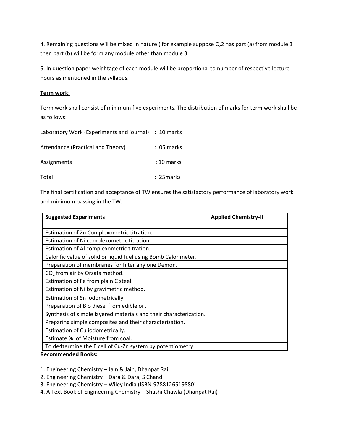4. Remaining questions will be mixed in nature ( for example suppose Q.2 has part (a) from module 3 then part (b) will be form any module other than module 3.

5. In question paper weightage of each module will be proportional to number of respective lecture hours as mentioned in the syllabus.

#### **Term work:**

Term work shall consist of minimum five experiments. The distribution of marks for term work shall be as follows:

| Laboratory Work (Experiments and journal) : 10 marks |              |
|------------------------------------------------------|--------------|
| Attendance (Practical and Theory)                    | $: 05$ marks |
| Assignments                                          | $: 10$ marks |
| Total                                                | : 25 marks   |

The final certification and acceptance of TW ensures the satisfactory performance of laboratory work and minimum passing in the TW.

| <b>Suggested Experiments</b>                                      | <b>Applied Chemistry-II</b> |  |  |  |  |  |
|-------------------------------------------------------------------|-----------------------------|--|--|--|--|--|
|                                                                   |                             |  |  |  |  |  |
| Estimation of Zn Complexometric titration.                        |                             |  |  |  |  |  |
| Estimation of Ni complexometric titration.                        |                             |  |  |  |  |  |
| Estimation of Al complexometric titration.                        |                             |  |  |  |  |  |
| Calorific value of solid or liquid fuel using Bomb Calorimeter.   |                             |  |  |  |  |  |
| Preparation of membranes for filter any one Demon.                |                             |  |  |  |  |  |
| CO <sub>2</sub> from air by Orsats method.                        |                             |  |  |  |  |  |
| Estimation of Fe from plain C steel.                              |                             |  |  |  |  |  |
| Estimation of Ni by gravimetric method.                           |                             |  |  |  |  |  |
| Estimation of Sn iodometrically.                                  |                             |  |  |  |  |  |
| Preparation of Bio diesel from edible oil.                        |                             |  |  |  |  |  |
| Synthesis of simple layered materials and their characterization. |                             |  |  |  |  |  |
| Preparing simple composites and their characterization.           |                             |  |  |  |  |  |
| Estimation of Cu iodometrically.                                  |                             |  |  |  |  |  |
| Estimate % of Moisture from coal.                                 |                             |  |  |  |  |  |
| To de4termine the E cell of Cu-Zn system by potentiometry.        |                             |  |  |  |  |  |
| Dacammandad Rooke:                                                |                             |  |  |  |  |  |

#### **Recommended Books:**

- 1. Engineering Chemistry Jain & Jain, Dhanpat Rai
- 2. Engineering Chemistry Dara & Dara, S Chand
- 3. Engineering Chemistry Wiley India (ISBN‐9788126519880)
- 4. A Text Book of Engineering Chemistry Shashi Chawla (Dhanpat Rai)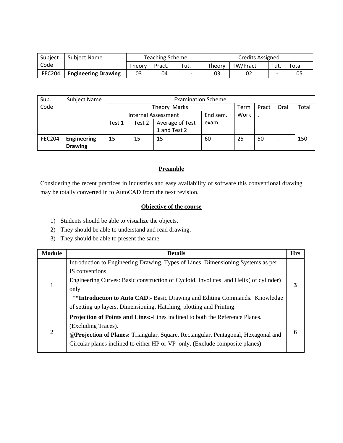| Subject       | Subject Name               |                          | Teaching Scheme |  |        | Credits Assigned |      |       |
|---------------|----------------------------|--------------------------|-----------------|--|--------|------------------|------|-------|
| Code          |                            | Theory<br>Tut.<br>Pract. |                 |  | Theory | TW/Pract         | Tut. | Total |
| <b>FEC204</b> | <b>Engineering Drawing</b> | 03                       | 04              |  |        | 02               |      |       |

| Sub.          | Subject Name       |                                 | <b>Examination Scheme</b> |                 |      |       |      |                          |     |  |
|---------------|--------------------|---------------------------------|---------------------------|-----------------|------|-------|------|--------------------------|-----|--|
| Code          |                    |                                 |                           | Theory Marks    | Term | Pract | Oral | Total                    |     |  |
|               |                    | Internal Assessment<br>End sem. |                           |                 |      | Work  |      |                          |     |  |
|               |                    | Test 1                          | Test 2                    | Average of Test | exam |       |      |                          |     |  |
|               |                    |                                 |                           | 1 and Test 2    |      |       |      |                          |     |  |
| <b>FEC204</b> | <b>Engineering</b> | 15                              | 15                        | 15              | 60   | 25    | 50   | $\overline{\phantom{0}}$ | 150 |  |
|               | <b>Drawing</b>     |                                 |                           |                 |      |       |      |                          |     |  |

#### **Preamble**

Considering the recent practices in industries and easy availability of software this conventional drawing may be totally converted in to AutoCAD from the next revision.

#### **Objective of the course**

- 1) Students should be able to visualize the objects.
- 2) They should be able to understand and read drawing.
- 3) They should be able to present the same.

| <b>Module</b> | <b>Details</b>                                                                       | <b>Hrs</b> |
|---------------|--------------------------------------------------------------------------------------|------------|
|               | Introduction to Engineering Drawing. Types of Lines, Dimensioning Systems as per     |            |
|               | IS conventions.                                                                      |            |
|               | Engineering Curves: Basic construction of Cycloid, Involutes and Helix( of cylinder) |            |
|               | only                                                                                 |            |
|               | <b>**Introduction to Auto CAD:</b> Basic Drawing and Editing Commands. Knowledge     |            |
|               | of setting up layers, Dimensioning, Hatching, plotting and Printing.                 |            |
|               | Projection of Points and Lines:-Lines inclined to both the Reference Planes.         |            |
|               | (Excluding Traces).                                                                  |            |
| 2             | @Projection of Planes: Triangular, Square, Rectangular, Pentagonal, Hexagonal and    | 6          |
|               | Circular planes inclined to either HP or VP only. (Exclude composite planes)         |            |
|               |                                                                                      |            |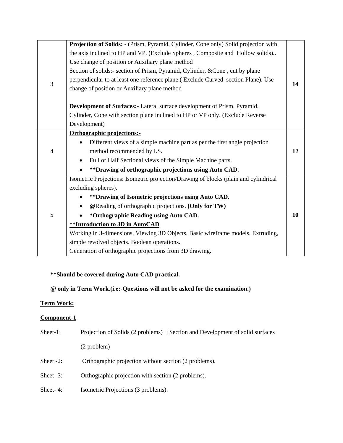| 3 | Projection of Solids: - (Prism, Pyramid, Cylinder, Cone only) Solid projection with<br>the axis inclined to HP and VP. (Exclude Spheres, Composite and Hollow solids)<br>Use change of position or Auxiliary plane method<br>Section of solids:- section of Prism, Pyramid, Cylinder, & Cone, cut by plane<br>perpendicular to at least one reference plane. (Exclude Curved section Plane). Use<br>change of position or Auxiliary plane method<br>Development of Surfaces:- Lateral surface development of Prism, Pyramid,<br>Cylinder, Cone with section plane inclined to HP or VP only. (Exclude Reverse<br>Development) | 14 |
|---|-------------------------------------------------------------------------------------------------------------------------------------------------------------------------------------------------------------------------------------------------------------------------------------------------------------------------------------------------------------------------------------------------------------------------------------------------------------------------------------------------------------------------------------------------------------------------------------------------------------------------------|----|
| 4 | <b>Orthographic projections:-</b><br>Different views of a simple machine part as per the first angle projection<br>$\bullet$<br>method recommended by I.S.<br>Full or Half Sectional views of the Simple Machine parts.<br>$\bullet$<br>**Drawing of orthographic projections using Auto CAD.<br>٠                                                                                                                                                                                                                                                                                                                            | 12 |
| 5 | Isometric Projections: Isometric projection/Drawing of blocks (plain and cylindrical<br>excluding spheres).<br>**Drawing of Isometric projections using Auto CAD.<br>@Reading of orthographic projections. (Only for TW)<br>٠<br>*Orthographic Reading using Auto CAD.<br>**Introduction to 3D in AutoCAD<br>Working in 3-dimensions, Viewing 3D Objects, Basic wireframe models, Extruding,<br>simple revolved objects. Boolean operations.<br>Generation of orthographic projections from 3D drawing.                                                                                                                       | 10 |

#### **\*\*Should be covered during Auto CAD practical.**

#### **@ only in Term Work.(i.e:-Questions will not be asked for the examination.)**

#### **Term Work:**

#### **Component-1**

Sheet-1: Projection of Solids (2 problems) + Section and Development of solid surfaces (2 problem) Sheet -2: Orthographic projection without section (2 problems). Sheet -3: Orthographic projection with section (2 problems). Sheet- 4: Isometric Projections (3 problems).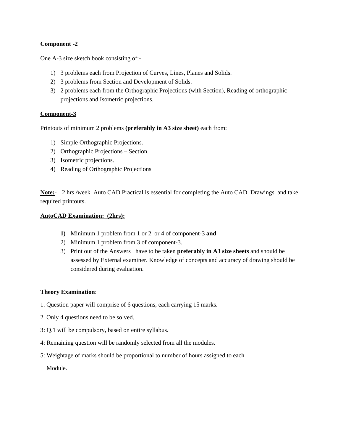#### **Component -2**

One A-3 size sketch book consisting of:-

- 1) 3 problems each from Projection of Curves, Lines, Planes and Solids.
- 2) 3 problems from Section and Development of Solids.
- 3) 2 problems each from the Orthographic Projections (with Section), Reading of orthographic projections and Isometric projections.

#### **Component-3**

Printouts of minimum 2 problems **(preferably in A3 size sheet)** each from:

- 1) Simple Orthographic Projections.
- 2) Orthographic Projections Section.
- 3) Isometric projections.
- 4) Reading of Orthographic Projections

**Note:**- 2 hrs /week Auto CAD Practical is essential for completing the Auto CAD Drawings and take required printouts.

#### **AutoCAD Examination: (2hrs):**

- **1)** Minimum 1 problem from 1 or 2 or 4 of component-3 **and**
- 2) Minimum 1 problem from 3 of component-3.
- 3) Print out of the Answers have to be taken **preferably in A3 size sheets** and should be assessed by External examiner. Knowledge of concepts and accuracy of drawing should be considered during evaluation.

#### **Theory Examination**:

- 1. Question paper will comprise of 6 questions, each carrying 15 marks.
- 2. Only 4 questions need to be solved.
- 3: Q.1 will be compulsory, based on entire syllabus.
- 4: Remaining question will be randomly selected from all the modules.
- 5: Weightage of marks should be proportional to number of hours assigned to each

Module.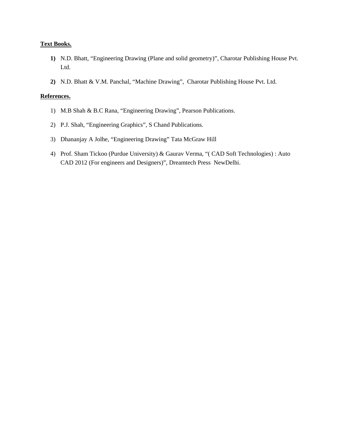#### **Text Books.**

- **1)** N.D. Bhatt, "Engineering Drawing (Plane and solid geometry)", Charotar Publishing House Pvt. Ltd.
- **2)** N.D. Bhatt & V.M. Panchal, "Machine Drawing", Charotar Publishing House Pvt. Ltd.

#### **References.**

- 1) M.B Shah & B.C Rana, "Engineering Drawing", Pearson Publications.
- 2) P.J. Shah, "Engineering Graphics", S Chand Publications.
- 3) Dhananjay A Jolhe, "Engineering Drawing" Tata McGraw Hill
- 4) Prof. Sham Tickoo (Purdue University) & Gaurav Verma, "( CAD Soft Technologies) : Auto CAD 2012 (For engineers and Designers)", Dreamtech Press NewDelhi.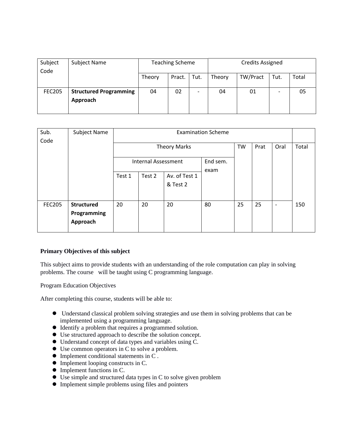| Subject<br>Code | Subject Name                              |        | <b>Teaching Scheme</b> |      |        | <b>Credits Assigned</b> |      |       |  |
|-----------------|-------------------------------------------|--------|------------------------|------|--------|-------------------------|------|-------|--|
|                 |                                           | Theory | Pract.                 | Tut. | Theory | TW/Pract                | Tut. | Total |  |
| <b>FEC205</b>   | <b>Structured Programming</b><br>Approach | 04     | 02                     | -    | 04     | 01                      |      | 05    |  |

| Sub.<br>Code  | Subject Name                                 |                                        | <b>Examination Scheme</b> |                           |      |    |      |                          |       |
|---------------|----------------------------------------------|----------------------------------------|---------------------------|---------------------------|------|----|------|--------------------------|-------|
|               |                                              | <b>Theory Marks</b>                    |                           |                           |      |    | Prat | Oral                     | Total |
|               |                                              | End sem.<br><b>Internal Assessment</b> |                           |                           |      |    |      |                          |       |
|               |                                              | Test 1                                 | Test 2                    | Av. of Test 1<br>& Test 2 | exam |    |      |                          |       |
| <b>FEC205</b> | <b>Structured</b><br>Programming<br>Approach | 20                                     | 20                        | 20                        | 80   | 25 | 25   | $\overline{\phantom{0}}$ | 150   |

#### **Primary Objectives of this subject**

This subject aims to provide students with an understanding of the role computation can play in solving problems. The course will be taught using C programming language.

Program Education Objectives

After completing this course, students will be able to:

- $\bullet$  Understand classical problem solving strategies and use them in solving problems that can be implemented using a programming language.
- $\bullet$  Identify a problem that requires a programmed solution.
- Use structured approach to describe the solution concept.
- $\bullet$  Understand concept of data types and variables using C.
- $\bullet$  Use common operators in C to solve a problem.
- $\bullet$  Implement conditional statements in C.
- $\bullet$  Implement looping constructs in C.
- $\bullet$  Implement functions in C.
- $\bullet$  Use simple and structured data types in C to solve given problem
- $\bullet$  Implement simple problems using files and pointers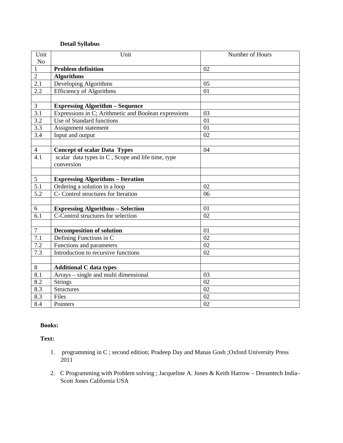#### **Detail Syllabus**

| Unit             | Unit                                                 | Number of Hours |
|------------------|------------------------------------------------------|-----------------|
| N <sub>o</sub>   |                                                      |                 |
|                  | <b>Problem definition</b>                            | 02              |
| $\overline{2}$   | <b>Algorithms</b>                                    |                 |
| 2.1              | Developing Algorithms                                | 05              |
| 2.2              | <b>Efficiency of Algorithms</b>                      | 01              |
|                  |                                                      |                 |
| 3                | <b>Expressing Algorithm - Sequence</b>               |                 |
| $\overline{3.1}$ | Expressions in C; Arithmetic and Boolean expressions | 03              |
| 3.2              | Use of Standard functions                            | 01              |
| 3.3              | Assignment statement                                 | 01              |
| 3.4              | Input and output                                     | 02              |
|                  |                                                      |                 |
| $\overline{4}$   | <b>Concept of scalar Data Types</b>                  | 04              |
| 4.1              | scalar data types in C, Scope and life time, type    |                 |
|                  | conversion                                           |                 |
|                  |                                                      |                 |
| 5                | <b>Expressing Algorithms - Iteration</b>             |                 |
| $\overline{5.1}$ | Ordering a solution in a loop                        | 02              |
| 5.2              | C- Control structures for Iteration                  | 06              |
|                  |                                                      |                 |
| 6                | <b>Expressing Algorithms - Selection</b>             | 01              |
| $\overline{6.1}$ | C-Control structures for selection                   | 02              |
|                  |                                                      |                 |
| $\overline{7}$   | <b>Decomposition of solution</b>                     | 01              |
| 7.1              | Defining Functions in C                              | 02              |
| 7.2              | Functions and parameters                             | 02              |
| 7.3              | Introduction to recursive functions                  | 02              |
|                  |                                                      |                 |
| $8\,$            | <b>Additional C data types</b>                       |                 |
| $\overline{8.1}$ | Arrays - single and multi dimensional                | 03              |
| 8.2              | <b>Strings</b>                                       | 02              |
| 8.3              | <b>Structures</b>                                    | 02              |
| 8.3              | Files                                                | 02              |
| 8.4              | Pointers                                             | 02              |

#### **Books:**

**Text:** 

- 1. programming in C ; second edition; Pradeep Day and Manas Gosh ;Oxford University Press 2011
- 2. C Programming with Problem solving ; Jacqueline A. Jones & Keith Harrow Dreamtech India– Scott Jones California USA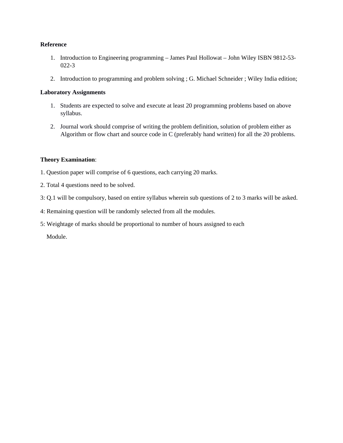#### **Reference**

- 1. Introduction to Engineering programming James Paul Hollowat John Wiley ISBN 9812-53- 022-3
- 2. Introduction to programming and problem solving ; G. Michael Schneider ; Wiley India edition;

#### **Laboratory Assignments**

- 1. Students are expected to solve and execute at least 20 programming problems based on above syllabus.
- 2. Journal work should comprise of writing the problem definition, solution of problem either as Algorithm or flow chart and source code in C (preferably hand written) for all the 20 problems.

#### **Theory Examination**:

- 1. Question paper will comprise of 6 questions, each carrying 20 marks.
- 2. Total 4 questions need to be solved.
- 3: Q.1 will be compulsory, based on entire syllabus wherein sub questions of 2 to 3 marks will be asked.
- 4: Remaining question will be randomly selected from all the modules.
- 5: Weightage of marks should be proportional to number of hours assigned to each

Module.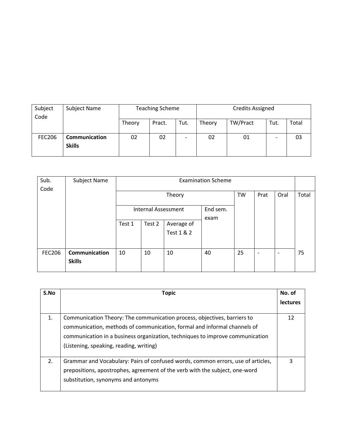| Subject<br>Code | Subject Name                   | <b>Teaching Scheme</b> |        |      | <b>Credits Assigned</b> |          |                          |       |
|-----------------|--------------------------------|------------------------|--------|------|-------------------------|----------|--------------------------|-------|
|                 |                                | Theory                 | Pract. | Tut. | Theory                  | TW/Pract | Tut.                     | Total |
| <b>FEC206</b>   | Communication<br><b>Skills</b> | 02                     | 02     | -    | 02                      | 01       | $\overline{\phantom{0}}$ | 03    |

| Sub.          | Subject Name                   |                                        | <b>Examination Scheme</b> |                          |      |       |                          |                          |    |
|---------------|--------------------------------|----------------------------------------|---------------------------|--------------------------|------|-------|--------------------------|--------------------------|----|
| Code          |                                |                                        | <b>TW</b>                 | Prat                     | Oral | Total |                          |                          |    |
|               |                                | <b>Internal Assessment</b><br>End sem. |                           |                          |      |       |                          |                          |    |
|               |                                | Test 1                                 | Test 2                    | Average of<br>Test 1 & 2 | exam |       |                          |                          |    |
|               |                                |                                        |                           |                          |      |       |                          |                          |    |
| <b>FEC206</b> | Communication<br><b>Skills</b> | 10                                     | 10                        | 10                       | 40   | 25    | $\overline{\phantom{a}}$ | $\overline{\phantom{0}}$ | 75 |

| S.No | <b>Topic</b>                                                                     |                 |  |  |  |  |
|------|----------------------------------------------------------------------------------|-----------------|--|--|--|--|
|      |                                                                                  | <b>lectures</b> |  |  |  |  |
| 1.   | Communication Theory: The communication process, objectives, barriers to         | 12              |  |  |  |  |
|      | communication, methods of communication, formal and informal channels of         |                 |  |  |  |  |
|      | communication in a business organization, techniques to improve communication    |                 |  |  |  |  |
|      | (Listening, speaking, reading, writing)                                          |                 |  |  |  |  |
| 2.   | Grammar and Vocabulary: Pairs of confused words, common errors, use of articles, | 3               |  |  |  |  |
|      | prepositions, apostrophes, agreement of the verb with the subject, one-word      |                 |  |  |  |  |
|      | substitution, synonyms and antonyms                                              |                 |  |  |  |  |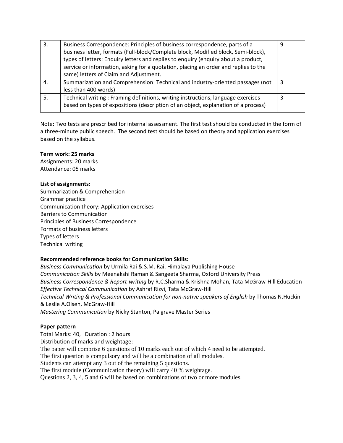| 3. | Business Correspondence: Principles of business correspondence, parts of a<br>business letter, formats (Full-block/Complete block, Modified block, Semi-block),<br>types of letters: Enquiry letters and replies to enquiry (enquiry about a product,<br>service or information, asking for a quotation, placing an order and replies to the | 9 |
|----|----------------------------------------------------------------------------------------------------------------------------------------------------------------------------------------------------------------------------------------------------------------------------------------------------------------------------------------------|---|
|    | same) letters of Claim and Adjustment.                                                                                                                                                                                                                                                                                                       |   |
| 4. | Summarization and Comprehension: Technical and industry-oriented passages (not<br>less than 400 words)                                                                                                                                                                                                                                       | 3 |
| 5. | Technical writing: Framing definitions, writing instructions, language exercises<br>based on types of expositions (description of an object, explanation of a process)                                                                                                                                                                       | 3 |

Note: Two tests are prescribed for internal assessment. The first test should be conducted in the form of a three‐minute public speech. The second test should be based on theory and application exercises based on the syllabus.

#### **Term work: 25 marks**

Assignments: 20 marks Attendance: 05 marks

#### **List of assignments:**

Summarization & Comprehension Grammar practice Communication theory: Application exercises Barriers to Communication Principles of Business Correspondence Formats of business letters Types of letters Technical writing

#### **Recommended reference books for Communication Skills:**

*Business Communication* by Urmila Rai & S.M. Rai, Himalaya Publishing House *Communication Skills* by Meenakshi Raman & Sangeeta Sharma, Oxford University Press *Business Correspondence & Report‐writing* by R.C.Sharma & Krishna Mohan, Tata McGraw‐Hill Education *Effective Technical Communication* by Ashraf Rizvi, Tata McGraw‐Hill *Technical Writing & Professional Communication for non‐native speakers of English* by Thomas N.Huckin & Leslie A.Olsen, McGraw‐Hill *Mastering Communication* by Nicky Stanton, Palgrave Master Series

#### **Paper pattern**

Total Marks: 40, Duration : 2 hours

Distribution of marks and weightage:

The paper will comprise 6 questions of 10 marks each out of which 4 need to be attempted.

The first question is compulsory and will be a combination of all modules.

Students can attempt any 3 out of the remaining 5 questions.

The first module (Communication theory) will carry 40 % weightage.

Questions 2, 3, 4, 5 and 6 will be based on combinations of two or more modules.